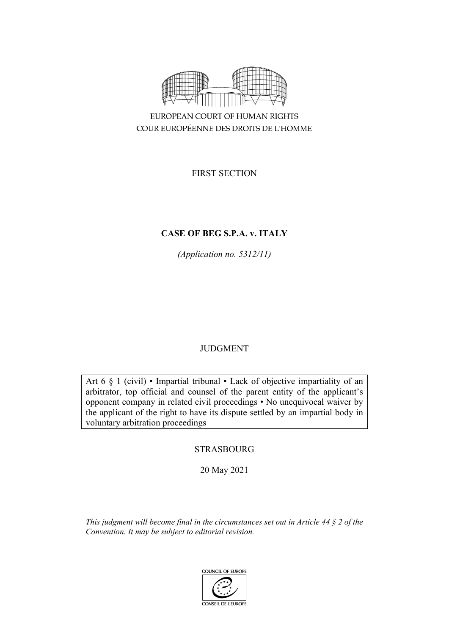

FIRST SECTION

# **CASE OF BEG S.P.A. v. ITALY**

*(Application no. 5312/11)*

# JUDGMENT

Art 6 § 1 (civil) • Impartial tribunal • Lack of objective impartiality of an arbitrator, top official and counsel of the parent entity of the applicant's opponent company in related civil proceedings • No unequivocal waiver by the applicant of the right to have its dispute settled by an impartial body in voluntary arbitration proceedings

# STRASBOURG

20 May 2021

*This judgment will become final in the circumstances set out in Article 44 § 2 of the Convention. It may be subject to editorial revision.*

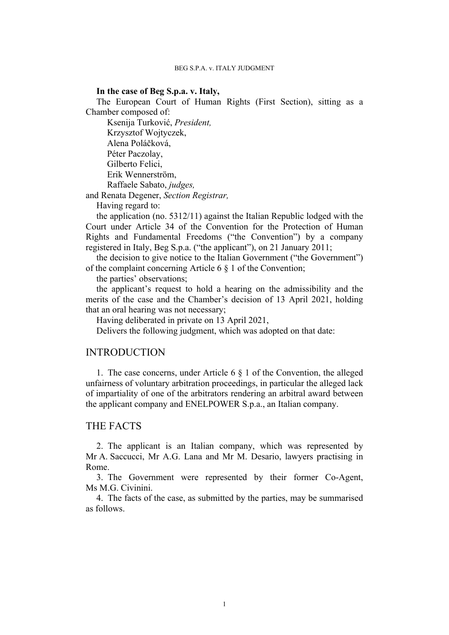### **In the case of Beg S.p.a. v. Italy,**

The European Court of Human Rights (First Section), sitting as a Chamber composed of:

Ksenija Turković, *President,* Krzysztof Wojtyczek, Alena Poláčková, Péter Paczolay, Gilberto Felici, Erik Wennerström, Raffaele Sabato, *judges,*

and Renata Degener, *Section Registrar,*

Having regard to:

the application (no. 5312/11) against the Italian Republic lodged with the Court under Article 34 of the Convention for the Protection of Human Rights and Fundamental Freedoms ("the Convention") by a company registered in Italy, Beg S.p.a. ("the applicant"), on 21 January 2011;

the decision to give notice to the Italian Government ("the Government") of the complaint concerning Article 6 § 1 of the Convention;

the parties' observations;

the applicant's request to hold a hearing on the admissibility and the merits of the case and the Chamber's decision of 13 April 2021, holding that an oral hearing was not necessary;

Having deliberated in private on 13 April 2021,

Delivers the following judgment, which was adopted on that date:

# INTRODUCTION

1. The case concerns, under Article 6 § 1 of the Convention, the alleged unfairness of voluntary arbitration proceedings, in particular the alleged lack of impartiality of one of the arbitrators rendering an arbitral award between the applicant company and ENELPOWER S.p.a., an Italian company.

# THE FACTS

2. The applicant is an Italian company, which was represented by Mr A. Saccucci, Mr A.G. Lana and Mr M. Desario, lawyers practising in Rome.

3. The Government were represented by their former Co-Agent, Ms M.G. Civinini.

4. The facts of the case, as submitted by the parties, may be summarised as follows.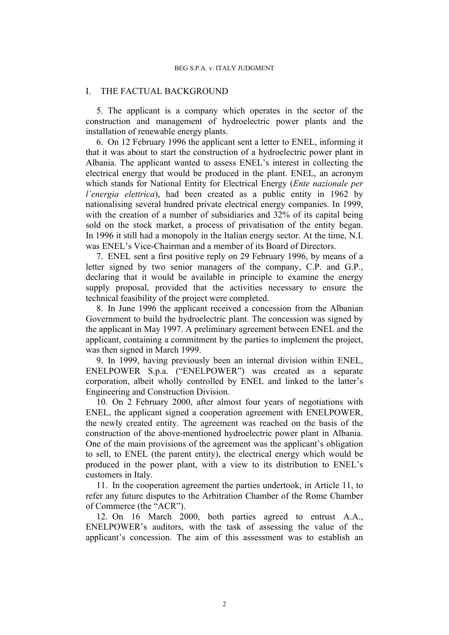## I. THE FACTUAL BACKGROUND

5. The applicant is a company which operates in the sector of the construction and management of hydroelectric power plants and the installation of renewable energy plants.

<span id="page-3-3"></span>6. On 12 February 1996 the applicant sent a letter to ENEL, informing it that it was about to start the construction of a hydroelectric power plant in Albania. The applicant wanted to assess ENEL's interest in collecting the electrical energy that would be produced in the plant. ENEL, an acronym which stands for National Entity for Electrical Energy (*Ente nazionale per l'energia elettrica*), had been created as a public entity in 1962 by nationalising several hundred private electrical energy companies. In 1999, with the creation of a number of subsidiaries and 32% of its capital being sold on the stock market, a process of privatisation of the entity began. In 1996 it still had a monopoly in the Italian energy sector. At the time, N.I. was ENEL's Vice-Chairman and a member of its Board of Directors.

<span id="page-3-1"></span>7. ENEL sent a first positive reply on 29 February 1996, by means of a letter signed by two senior managers of the company, C.P. and G.P., declaring that it would be available in principle to examine the energy supply proposal, provided that the activities necessary to ensure the technical feasibility of the project were completed.

<span id="page-3-4"></span>8. In June 1996 the applicant received a concession from the Albanian Government to build the hydroelectric plant. The concession was signed by the applicant in May 1997. A preliminary agreement between ENEL and the applicant, containing a commitment by the parties to implement the project, was then signed in March 1999.

<span id="page-3-0"></span>9. In 1999, having previously been an internal division within ENEL, ENELPOWER S.p.a. ("ENELPOWER") was created as a separate corporation, albeit wholly controlled by ENEL and linked to the latter's Engineering and Construction Division.

10. On 2 February 2000, after almost four years of negotiations with ENEL, the applicant signed a cooperation agreement with ENELPOWER, the newly created entity. The agreement was reached on the basis of the construction of the above-mentioned hydroelectric power plant in Albania. One of the main provisions of the agreement was the applicant's obligation to sell, to ENEL (the parent entity), the electrical energy which would be produced in the power plant, with a view to its distribution to ENEL's customers in Italy.

<span id="page-3-2"></span>11. In the cooperation agreement the parties undertook, in Article 11, to refer any future disputes to the Arbitration Chamber of the Rome Chamber of Commerce (the "ACR").

12. On 16 March 2000, both parties agreed to entrust A.A., ENELPOWER's auditors, with the task of assessing the value of the applicant's concession. The aim of this assessment was to establish an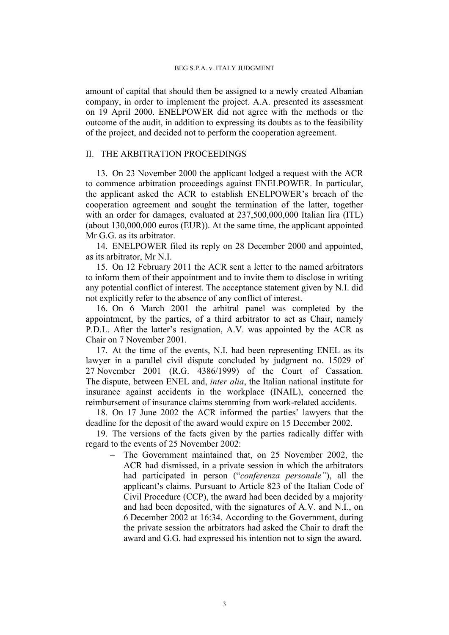amount of capital that should then be assigned to a newly created Albanian company, in order to implement the project. A.A. presented its assessment on 19 April 2000. ENELPOWER did not agree with the methods or the outcome of the audit, in addition to expressing its doubts as to the feasibility of the project, and decided not to perform the cooperation agreement.

# II. THE ARBITRATION PROCEEDINGS

13. On 23 November 2000 the applicant lodged a request with the ACR to commence arbitration proceedings against ENELPOWER. In particular, the applicant asked the ACR to establish ENELPOWER's breach of the cooperation agreement and sought the termination of the latter, together with an order for damages, evaluated at  $237,500,000,000$  Italian lira (ITL) (about 130,000,000 euros (EUR)). At the same time, the applicant appointed Mr G.G. as its arbitrator.

14. ENELPOWER filed its reply on 28 December 2000 and appointed, as its arbitrator, Mr N.I.

<span id="page-4-1"></span>15. On 12 February 2011 the ACR sent a letter to the named arbitrators to inform them of their appointment and to invite them to disclose in writing any potential conflict of interest. The acceptance statement given by N.I. did not explicitly refer to the absence of any conflict of interest.

16. On 6 March 2001 the arbitral panel was completed by the appointment, by the parties, of a third arbitrator to act as Chair, namely P.D.L. After the latter's resignation, A.V. was appointed by the ACR as Chair on 7 November 2001.

17. At the time of the events, N.I. had been representing ENEL as its lawyer in a parallel civil dispute concluded by judgment no. 15029 of 27 November 2001 (R.G. 4386/1999) of the Court of Cassation. The dispute, between ENEL and, *inter alia*, the Italian national institute for insurance against accidents in the workplace (INAIL), concerned the reimbursement of insurance claims stemming from work-related accidents.

18. On 17 June 2002 the ACR informed the parties' lawyers that the deadline for the deposit of the award would expire on 15 December 2002.

<span id="page-4-0"></span>19. The versions of the facts given by the parties radically differ with regard to the events of 25 November 2002:

 The Government maintained that, on 25 November 2002, the ACR had dismissed, in a private session in which the arbitrators had participated in person ("*conferenza personale"*), all the applicant's claims. Pursuant to Article 823 of the Italian Code of Civil Procedure (CCP), the award had been decided by a majority and had been deposited, with the signatures of A.V. and N.I., on 6 December 2002 at 16:34. According to the Government, during the private session the arbitrators had asked the Chair to draft the award and G.G. had expressed his intention not to sign the award.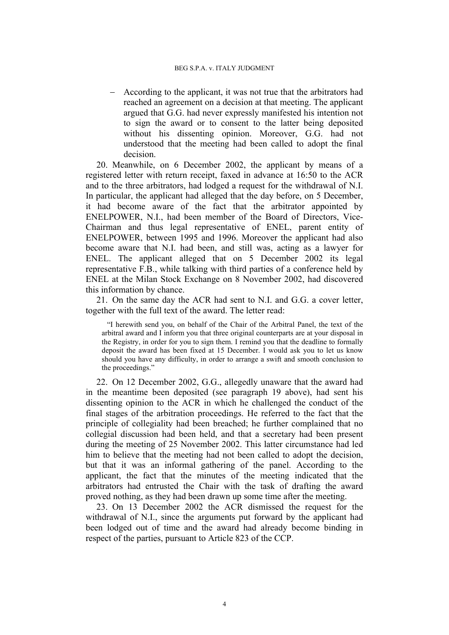According to the applicant, it was not true that the arbitrators had reached an agreement on a decision at that meeting. The applicant argued that G.G. had never expressly manifested his intention not to sign the award or to consent to the latter being deposited without his dissenting opinion. Moreover, G.G. had not understood that the meeting had been called to adopt the final decision.

<span id="page-5-0"></span>20. Meanwhile, on 6 December 2002, the applicant by means of a registered letter with return receipt, faxed in advance at 16:50 to the ACR and to the three arbitrators, had lodged a request for the withdrawal of N.I. In particular, the applicant had alleged that the day before, on 5 December, it had become aware of the fact that the arbitrator appointed by ENELPOWER, N.I., had been member of the Board of Directors, Vice-Chairman and thus legal representative of ENEL, parent entity of ENELPOWER, between 1995 and 1996. Moreover the applicant had also become aware that N.I. had been, and still was, acting as a lawyer for ENEL. The applicant alleged that on 5 December 2002 its legal representative F.B., while talking with third parties of a conference held by ENEL at the Milan Stock Exchange on 8 November 2002, had discovered this information by chance.

21. On the same day the ACR had sent to N.I. and G.G. a cover letter, together with the full text of the award. The letter read:

"I herewith send you, on behalf of the Chair of the Arbitral Panel, the text of the arbitral award and I inform you that three original counterparts are at your disposal in the Registry, in order for you to sign them. I remind you that the deadline to formally deposit the award has been fixed at 15 December. I would ask you to let us know should you have any difficulty, in order to arrange a swift and smooth conclusion to the proceedings."

22. On 12 December 2002, G.G., allegedly unaware that the award had in the meantime been deposited (see paragraph [19](#page-4-0) above), had sent his dissenting opinion to the ACR in which he challenged the conduct of the final stages of the arbitration proceedings. He referred to the fact that the principle of collegiality had been breached; he further complained that no collegial discussion had been held, and that a secretary had been present during the meeting of 25 November 2002. This latter circumstance had led him to believe that the meeting had not been called to adopt the decision, but that it was an informal gathering of the panel. According to the applicant, the fact that the minutes of the meeting indicated that the arbitrators had entrusted the Chair with the task of drafting the award proved nothing, as they had been drawn up some time after the meeting.

23. On 13 December 2002 the ACR dismissed the request for the withdrawal of N.I., since the arguments put forward by the applicant had been lodged out of time and the award had already become binding in respect of the parties, pursuant to Article 823 of the CCP.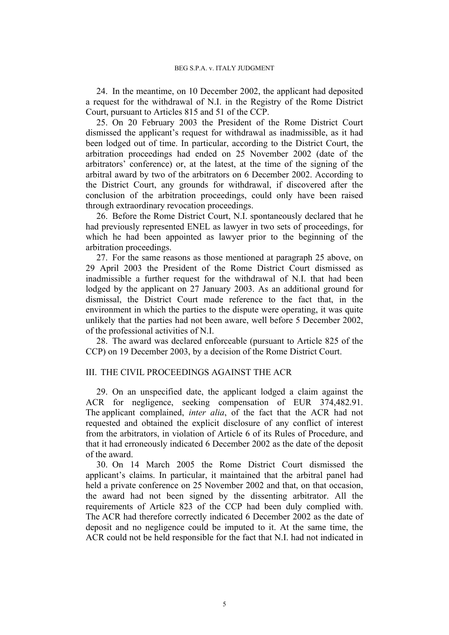<span id="page-6-4"></span>24. In the meantime, on 10 December 2002, the applicant had deposited a request for the withdrawal of N.I. in the Registry of the Rome District Court, pursuant to Articles 815 and 51 of the CCP.

<span id="page-6-0"></span>25. On 20 February 2003 the President of the Rome District Court dismissed the applicant's request for withdrawal as inadmissible, as it had been lodged out of time. In particular, according to the District Court, the arbitration proceedings had ended on 25 November 2002 (date of the arbitrators' conference) or, at the latest, at the time of the signing of the arbitral award by two of the arbitrators on 6 December 2002. According to the District Court, any grounds for withdrawal, if discovered after the conclusion of the arbitration proceedings, could only have been raised through extraordinary revocation proceedings.

<span id="page-6-5"></span>26. Before the Rome District Court, N.I. spontaneously declared that he had previously represented ENEL as lawyer in two sets of proceedings, for which he had been appointed as lawyer prior to the beginning of the arbitration proceedings.

<span id="page-6-2"></span>27. For the same reasons as those mentioned at paragraph [25](#page-6-0) above, on 29 April 2003 the President of the Rome District Court dismissed as inadmissible a further request for the withdrawal of N.I. that had been lodged by the applicant on 27 January 2003. As an additional ground for dismissal, the District Court made reference to the fact that, in the environment in which the parties to the dispute were operating, it was quite unlikely that the parties had not been aware, well before 5 December 2002, of the professional activities of N.I.

<span id="page-6-1"></span>28. The award was declared enforceable (pursuant to Article 825 of the CCP) on 19 December 2003, by a decision of the Rome District Court.

## III. THE CIVIL PROCEEDINGS AGAINST THE ACR

<span id="page-6-3"></span>29. On an unspecified date, the applicant lodged a claim against the ACR for negligence, seeking compensation of EUR 374,482.91. The applicant complained, *inter alia*, of the fact that the ACR had not requested and obtained the explicit disclosure of any conflict of interest from the arbitrators, in violation of Article 6 of its Rules of Procedure, and that it had erroneously indicated 6 December 2002 as the date of the deposit of the award.

30. On 14 March 2005 the Rome District Court dismissed the applicant's claims. In particular, it maintained that the arbitral panel had held a private conference on 25 November 2002 and that, on that occasion, the award had not been signed by the dissenting arbitrator. All the requirements of Article 823 of the CCP had been duly complied with. The ACR had therefore correctly indicated 6 December 2002 as the date of deposit and no negligence could be imputed to it. At the same time, the ACR could not be held responsible for the fact that N.I. had not indicated in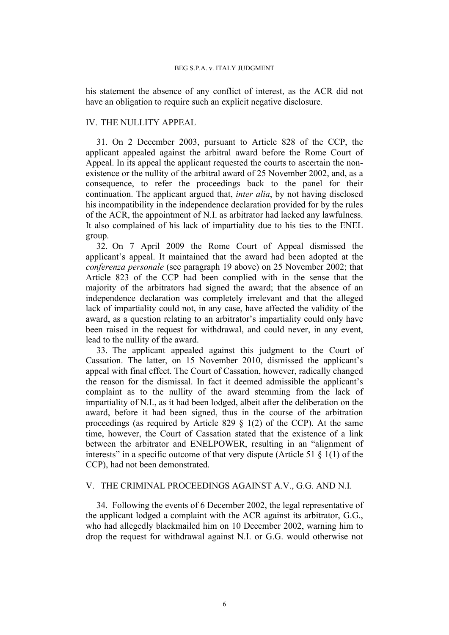his statement the absence of any conflict of interest, as the ACR did not have an obligation to require such an explicit negative disclosure.

## IV. THE NULLITY APPEAL

31. On 2 December 2003, pursuant to Article 828 of the CCP, the applicant appealed against the arbitral award before the Rome Court of Appeal. In its appeal the applicant requested the courts to ascertain the nonexistence or the nullity of the arbitral award of 25 November 2002, and, as a consequence, to refer the proceedings back to the panel for their continuation. The applicant argued that, *inter alia*, by not having disclosed his incompatibility in the independence declaration provided for by the rules of the ACR, the appointment of N.I. as arbitrator had lacked any lawfulness. It also complained of his lack of impartiality due to his ties to the ENEL group.

<span id="page-7-0"></span>32. On 7 April 2009 the Rome Court of Appeal dismissed the applicant's appeal. It maintained that the award had been adopted at the *conferenza personale* (see paragraph [19](#page-4-0) above) on 25 November 2002; that Article 823 of the CCP had been complied with in the sense that the majority of the arbitrators had signed the award; that the absence of an independence declaration was completely irrelevant and that the alleged lack of impartiality could not, in any case, have affected the validity of the award, as a question relating to an arbitrator's impartiality could only have been raised in the request for withdrawal, and could never, in any event, lead to the nullity of the award.

<span id="page-7-1"></span>33. The applicant appealed against this judgment to the Court of Cassation. The latter, on 15 November 2010, dismissed the applicant's appeal with final effect. The Court of Cassation, however, radically changed the reason for the dismissal. In fact it deemed admissible the applicant's complaint as to the nullity of the award stemming from the lack of impartiality of N.I., as it had been lodged, albeit after the deliberation on the award, before it had been signed, thus in the course of the arbitration proceedings (as required by Article 829  $\S$  1(2) of the CCP). At the same time, however, the Court of Cassation stated that the existence of a link between the arbitrator and ENELPOWER, resulting in an "alignment of interests" in a specific outcome of that very dispute (Article 51  $\S$  1(1) of the CCP), had not been demonstrated.

## V. THE CRIMINAL PROCEEDINGS AGAINST A.V., G.G. AND N.I.

34. Following the events of 6 December 2002, the legal representative of the applicant lodged a complaint with the ACR against its arbitrator, G.G., who had allegedly blackmailed him on 10 December 2002, warning him to drop the request for withdrawal against N.I. or G.G. would otherwise not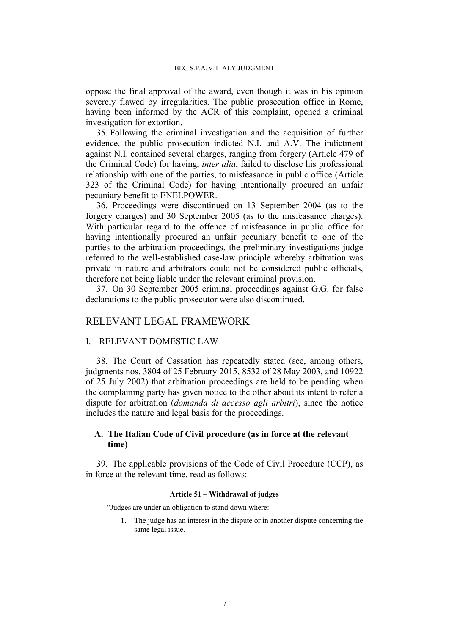oppose the final approval of the award, even though it was in his opinion severely flawed by irregularities. The public prosecution office in Rome, having been informed by the ACR of this complaint, opened a criminal investigation for extortion.

35. Following the criminal investigation and the acquisition of further evidence, the public prosecution indicted N.I. and A.V. The indictment against N.I. contained several charges, ranging from forgery (Article 479 of the Criminal Code) for having, *inter alia*, failed to disclose his professional relationship with one of the parties, to misfeasance in public office (Article 323 of the Criminal Code) for having intentionally procured an unfair pecuniary benefit to ENELPOWER.

36. Proceedings were discontinued on 13 September 2004 (as to the forgery charges) and 30 September 2005 (as to the misfeasance charges). With particular regard to the offence of misfeasance in public office for having intentionally procured an unfair pecuniary benefit to one of the parties to the arbitration proceedings, the preliminary investigations judge referred to the well-established case-law principle whereby arbitration was private in nature and arbitrators could not be considered public officials, therefore not being liable under the relevant criminal provision.

37. On 30 September 2005 criminal proceedings against G.G. for false declarations to the public prosecutor were also discontinued.

# RELEVANT LEGAL FRAMEWORK

# I. RELEVANT DOMESTIC LAW

38. The Court of Cassation has repeatedly stated (see, among others, judgments nos. 3804 of 25 February 2015, 8532 of 28 May 2003, and 10922 of 25 July 2002) that arbitration proceedings are held to be pending when the complaining party has given notice to the other about its intent to refer a dispute for arbitration (*domanda di accesso agli arbitri*), since the notice includes the nature and legal basis for the proceedings.

# **A. The Italian Code of Civil procedure (as in force at the relevant time)**

<span id="page-8-0"></span>39. The applicable provisions of the Code of Civil Procedure (CCP), as in force at the relevant time, read as follows:

### **Article 51 – Withdrawal of judges**

"Judges are under an obligation to stand down where:

1. The judge has an interest in the dispute or in another dispute concerning the same legal issue.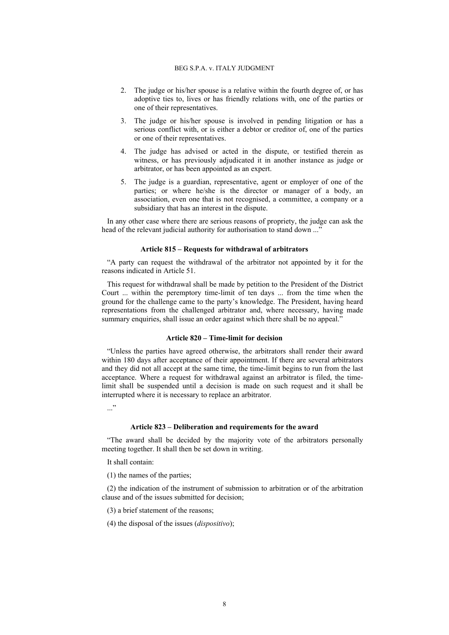- 2. The judge or his/her spouse is a relative within the fourth degree of, or has adoptive ties to, lives or has friendly relations with, one of the parties or one of their representatives.
- 3. The judge or his/her spouse is involved in pending litigation or has a serious conflict with, or is either a debtor or creditor of, one of the parties or one of their representatives.
- 4. The judge has advised or acted in the dispute, or testified therein as witness, or has previously adjudicated it in another instance as judge or arbitrator, or has been appointed as an expert.
- 5. The judge is a guardian, representative, agent or employer of one of the parties; or where he/she is the director or manager of a body, an association, even one that is not recognised, a committee, a company or a subsidiary that has an interest in the dispute.

In any other case where there are serious reasons of propriety, the judge can ask the head of the relevant judicial authority for authorisation to stand down ..."

#### **Article 815 – Requests for withdrawal of arbitrators**

"A party can request the withdrawal of the arbitrator not appointed by it for the reasons indicated in Article 51.

This request for withdrawal shall be made by petition to the President of the District Court ... within the peremptory time-limit of ten days ... from the time when the ground for the challenge came to the party's knowledge. The President, having heard representations from the challenged arbitrator and, where necessary, having made summary enquiries, shall issue an order against which there shall be no appeal."

### **Article 820 – Time-limit for decision**

"Unless the parties have agreed otherwise, the arbitrators shall render their award within 180 days after acceptance of their appointment. If there are several arbitrators and they did not all accept at the same time, the time-limit begins to run from the last acceptance. Where a request for withdrawal against an arbitrator is filed, the timelimit shall be suspended until a decision is made on such request and it shall be interrupted where it is necessary to replace an arbitrator.

..."

### **Article 823 – Deliberation and requirements for the award**

"The award shall be decided by the majority vote of the arbitrators personally meeting together. It shall then be set down in writing.

It shall contain:

(1) the names of the parties;

(2) the indication of the instrument of submission to arbitration or of the arbitration clause and of the issues submitted for decision;

(3) a brief statement of the reasons;

(4) the disposal of the issues (*dispositivo*);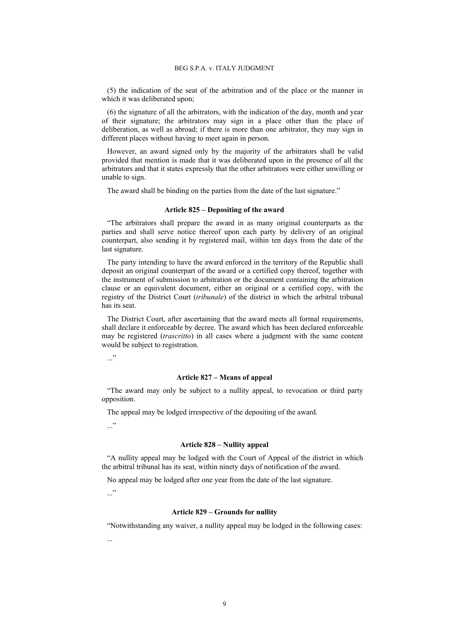(5) the indication of the seat of the arbitration and of the place or the manner in which it was deliberated upon:

(6) the signature of all the arbitrators, with the indication of the day, month and year of their signature; the arbitrators may sign in a place other than the place of deliberation, as well as abroad; if there is more than one arbitrator, they may sign in different places without having to meet again in person.

However, an award signed only by the majority of the arbitrators shall be valid provided that mention is made that it was deliberated upon in the presence of all the arbitrators and that it states expressly that the other arbitrators were either unwilling or unable to sign.

The award shall be binding on the parties from the date of the last signature."

#### **Article 825 – Depositing of the award**

"The arbitrators shall prepare the award in as many original counterparts as the parties and shall serve notice thereof upon each party by delivery of an original counterpart, also sending it by registered mail, within ten days from the date of the last signature.

The party intending to have the award enforced in the territory of the Republic shall deposit an original counterpart of the award or a certified copy thereof, together with the instrument of submission to arbitration or the document containing the arbitration clause or an equivalent document, either an original or a certified copy, with the registry of the District Court (*tribunale*) of the district in which the arbitral tribunal has its seat.

The District Court, after ascertaining that the award meets all formal requirements, shall declare it enforceable by decree. The award which has been declared enforceable may be registered (*trascritto*) in all cases where a judgment with the same content would be subject to registration.

 $\cdot$ ..."

#### **Article 827 – Means of appeal**

"The award may only be subject to a nullity appeal, to revocation or third party opposition.

The appeal may be lodged irrespective of the depositing of the award.

..."

#### **Article 828 – Nullity appeal**

"A nullity appeal may be lodged with the Court of Appeal of the district in which the arbitral tribunal has its seat, within ninety days of notification of the award.

No appeal may be lodged after one year from the date of the last signature.

 $\cdot$ ..."

...

#### **Article 829 – Grounds for nullity**

"Notwithstanding any waiver, a nullity appeal may be lodged in the following cases: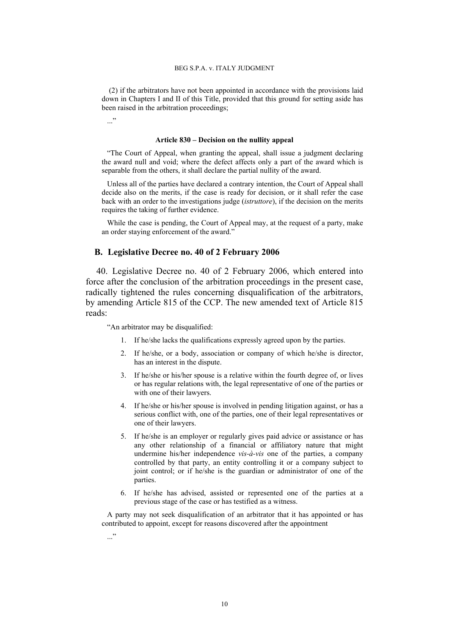(2) if the arbitrators have not been appointed in accordance with the provisions laid down in Chapters I and II of this Title, provided that this ground for setting aside has been raised in the arbitration proceedings;

..."

#### **Article 830 – Decision on the nullity appeal**

"The Court of Appeal, when granting the appeal, shall issue a judgment declaring the award null and void; where the defect affects only a part of the award which is separable from the others, it shall declare the partial nullity of the award.

Unless all of the parties have declared a contrary intention, the Court of Appeal shall decide also on the merits, if the case is ready for decision, or it shall refer the case back with an order to the investigations judge (*istruttore*), if the decision on the merits requires the taking of further evidence.

While the case is pending, the Court of Appeal may, at the request of a party, make an order staying enforcement of the award."

### **B. Legislative Decree no. 40 of 2 February 2006**

<span id="page-11-0"></span>40. Legislative Decree no. 40 of 2 February 2006, which entered into force after the conclusion of the arbitration proceedings in the present case, radically tightened the rules concerning disqualification of the arbitrators, by amending Article 815 of the CCP. The new amended text of Article 815 reads:

"An arbitrator may be disqualified:

- 1. If he/she lacks the qualifications expressly agreed upon by the parties.
- 2. If he/she, or a body, association or company of which he/she is director, has an interest in the dispute.
- 3. If he/she or his/her spouse is a relative within the fourth degree of, or lives or has regular relations with, the legal representative of one of the parties or with one of their lawyers.
- 4. If he/she or his/her spouse is involved in pending litigation against, or has a serious conflict with, one of the parties, one of their legal representatives or one of their lawyers.
- 5. If he/she is an employer or regularly gives paid advice or assistance or has any other relationship of a financial or affiliatory nature that might undermine his/her independence *vis-à-vis* one of the parties, a company controlled by that party, an entity controlling it or a company subject to joint control; or if he/she is the guardian or administrator of one of the parties.
- 6. If he/she has advised, assisted or represented one of the parties at a previous stage of the case or has testified as a witness.

A party may not seek disqualification of an arbitrator that it has appointed or has contributed to appoint, except for reasons discovered after the appointment

 $\cdot$ ..."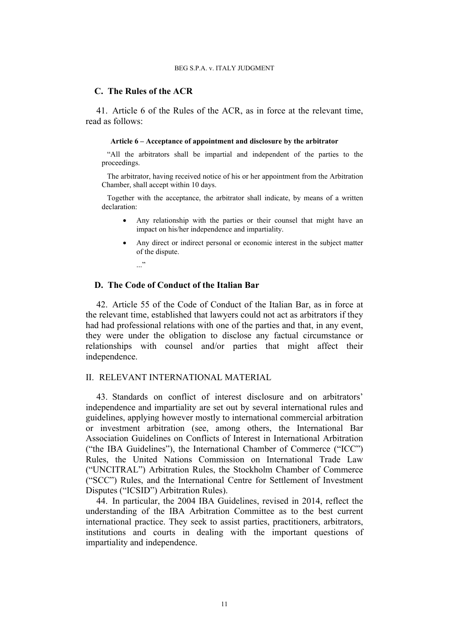### **C. The Rules of the ACR**

<span id="page-12-0"></span>41. Article 6 of the Rules of the ACR, as in force at the relevant time, read as follows:

#### **Article 6 – Acceptance of appointment and disclosure by the arbitrator**

"All the arbitrators shall be impartial and independent of the parties to the proceedings.

The arbitrator, having received notice of his or her appointment from the Arbitration Chamber, shall accept within 10 days.

Together with the acceptance, the arbitrator shall indicate, by means of a written declaration:

- Any relationship with the parties or their counsel that might have an impact on his/her independence and impartiality.
- Any direct or indirect personal or economic interest in the subject matter of the dispute.
	- $\cdot$ ..."

# **D. The Code of Conduct of the Italian Bar**

42. Article 55 of the Code of Conduct of the Italian Bar, as in force at the relevant time, established that lawyers could not act as arbitrators if they had had professional relations with one of the parties and that, in any event, they were under the obligation to disclose any factual circumstance or relationships with counsel and/or parties that might affect their independence.

# II. RELEVANT INTERNATIONAL MATERIAL

43. Standards on conflict of interest disclosure and on arbitrators' independence and impartiality are set out by several international rules and guidelines, applying however mostly to international commercial arbitration or investment arbitration (see, among others, the International Bar Association Guidelines on Conflicts of Interest in International Arbitration ("the IBA Guidelines"), the International Chamber of Commerce ("ICC") Rules, the United Nations Commission on International Trade Law ("UNCITRAL") Arbitration Rules, the Stockholm Chamber of Commerce ("SCC") Rules, and the International Centre for Settlement of Investment Disputes ("ICSID") Arbitration Rules).

44. In particular, the 2004 IBA Guidelines, revised in 2014, reflect the understanding of the IBA Arbitration Committee as to the best current international practice. They seek to assist parties, practitioners, arbitrators, institutions and courts in dealing with the important questions of impartiality and independence.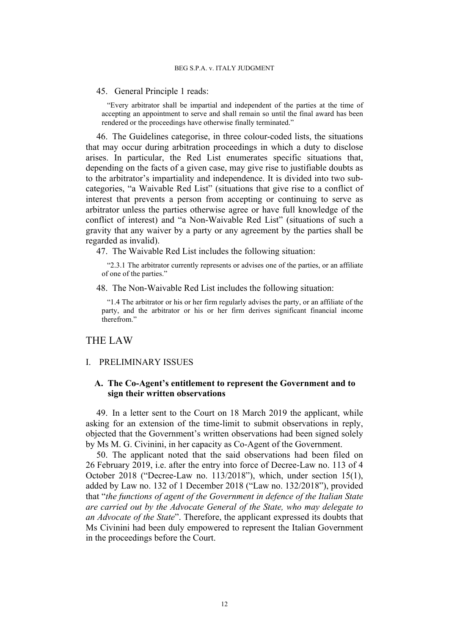45. General Principle 1 reads:

"Every arbitrator shall be impartial and independent of the parties at the time of accepting an appointment to serve and shall remain so until the final award has been rendered or the proceedings have otherwise finally terminated."

46. The Guidelines categorise, in three colour-coded lists, the situations that may occur during arbitration proceedings in which a duty to disclose arises. In particular, the Red List enumerates specific situations that, depending on the facts of a given case, may give rise to justifiable doubts as to the arbitrator's impartiality and independence. It is divided into two subcategories, "a Waivable Red List" (situations that give rise to a conflict of interest that prevents a person from accepting or continuing to serve as arbitrator unless the parties otherwise agree or have full knowledge of the conflict of interest) and "a Non-Waivable Red List" (situations of such a gravity that any waiver by a party or any agreement by the parties shall be regarded as invalid).

47. The Waivable Red List includes the following situation:

"2.3.1 The arbitrator currently represents or advises one of the parties, or an affiliate of one of the parties."

48. The Non-Waivable Red List includes the following situation:

"1.4 The arbitrator or his or her firm regularly advises the party, or an affiliate of the party, and the arbitrator or his or her firm derives significant financial income therefrom."

# THE LAW

### I. PRELIMINARY ISSUES

# **A. The Co-Agent's entitlement to represent the Government and to sign their written observations**

49. In a letter sent to the Court on 18 March 2019 the applicant, while asking for an extension of the time-limit to submit observations in reply, objected that the Government's written observations had been signed solely by Ms M. G. Civinini, in her capacity as Co-Agent of the Government.

50. The applicant noted that the said observations had been filed on 26 February 2019, i.e. after the entry into force of Decree-Law no. 113 of 4 October 2018 ("Decree-Law no. 113/2018"), which, under section 15(1), added by Law no. 132 of 1 December 2018 ("Law no. 132/2018"), provided that "*the functions of agent of the Government in defence of the Italian State are carried out by the Advocate General of the State, who may delegate to an Advocate of the State*". Therefore, the applicant expressed its doubts that Ms Civinini had been duly empowered to represent the Italian Government in the proceedings before the Court.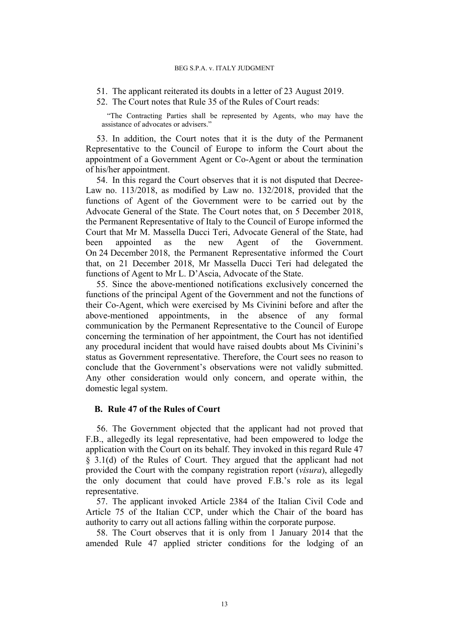- 51. The applicant reiterated its doubts in a letter of 23 August 2019.
- 52. The Court notes that Rule 35 of the Rules of Court reads:

"The Contracting Parties shall be represented by Agents, who may have the assistance of advocates or advisers."

53. In addition, the Court notes that it is the duty of the Permanent Representative to the Council of Europe to inform the Court about the appointment of a Government Agent or Co-Agent or about the termination of his/her appointment.

54. In this regard the Court observes that it is not disputed that Decree-Law no. 113/2018, as modified by Law no. 132/2018, provided that the functions of Agent of the Government were to be carried out by the Advocate General of the State. The Court notes that, on 5 December 2018, the Permanent Representative of Italy to the Council of Europe informed the Court that Mr M. Massella Ducci Teri, Advocate General of the State, had been appointed as the new Agent of the Government. On 24 December 2018, the Permanent Representative informed the Court that, on 21 December 2018, Mr Massella Ducci Teri had delegated the functions of Agent to Mr L. D'Ascia, Advocate of the State.

55. Since the above-mentioned notifications exclusively concerned the functions of the principal Agent of the Government and not the functions of their Co-Agent, which were exercised by Ms Civinini before and after the above-mentioned appointments, in the absence of any formal communication by the Permanent Representative to the Council of Europe concerning the termination of her appointment, the Court has not identified any procedural incident that would have raised doubts about Ms Civinini's status as Government representative. Therefore, the Court sees no reason to conclude that the Government's observations were not validly submitted. Any other consideration would only concern, and operate within, the domestic legal system.

# **B. Rule 47 of the Rules of Court**

56. The Government objected that the applicant had not proved that F.B., allegedly its legal representative, had been empowered to lodge the application with the Court on its behalf. They invoked in this regard Rule 47 § 3.1(d) of the Rules of Court. They argued that the applicant had not provided the Court with the company registration report (*visura*), allegedly the only document that could have proved F.B.'s role as its legal representative.

57. The applicant invoked Article 2384 of the Italian Civil Code and Article 75 of the Italian CCP, under which the Chair of the board has authority to carry out all actions falling within the corporate purpose.

58. The Court observes that it is only from 1 January 2014 that the amended Rule 47 applied stricter conditions for the lodging of an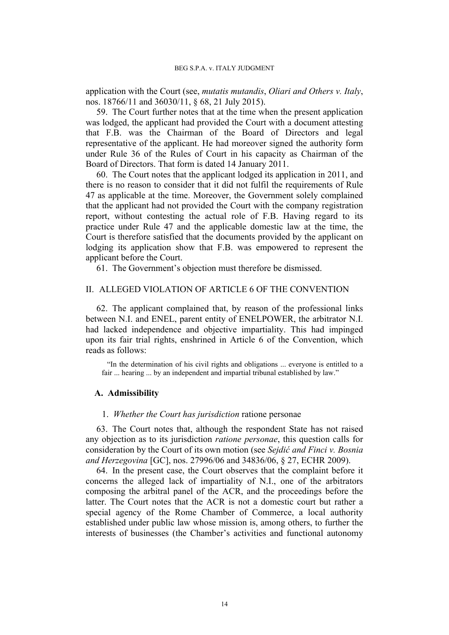application with the Court (see, *mutatis mutandis*, *Oliari and Others v. Italy*, nos. 18766/11 and 36030/11, § 68, 21 July 2015).

59. The Court further notes that at the time when the present application was lodged, the applicant had provided the Court with a document attesting that F.B. was the Chairman of the Board of Directors and legal representative of the applicant. He had moreover signed the authority form under Rule 36 of the Rules of Court in his capacity as Chairman of the Board of Directors. That form is dated 14 January 2011.

60. The Court notes that the applicant lodged its application in 2011, and there is no reason to consider that it did not fulfil the requirements of Rule 47 as applicable at the time. Moreover, the Government solely complained that the applicant had not provided the Court with the company registration report, without contesting the actual role of F.B. Having regard to its practice under Rule 47 and the applicable domestic law at the time, the Court is therefore satisfied that the documents provided by the applicant on lodging its application show that F.B. was empowered to represent the applicant before the Court.

61. The Government's objection must therefore be dismissed.

# II. ALLEGED VIOLATION OF ARTICLE 6 OF THE CONVENTION

62. The applicant complained that, by reason of the professional links between N.I. and ENEL, parent entity of ENELPOWER, the arbitrator N.I. had lacked independence and objective impartiality. This had impinged upon its fair trial rights, enshrined in Article 6 of the Convention, which reads as follows:

"In the determination of his civil rights and obligations ... everyone is entitled to a fair ... hearing ... by an independent and impartial tribunal established by law."

### **A. Admissibility**

### 1. *Whether the Court has jurisdiction* ratione personae

63. The Court notes that, although the respondent State has not raised any objection as to its jurisdiction *ratione personae*, this question calls for consideration by the Court of its own motion (see *Sejdić and Finci v. Bosnia and Herzegovina* [GC], nos. 27996/06 and 34836/06, § 27, ECHR 2009).

64. In the present case, the Court observes that the complaint before it concerns the alleged lack of impartiality of N.I., one of the arbitrators composing the arbitral panel of the ACR, and the proceedings before the latter. The Court notes that the ACR is not a domestic court but rather a special agency of the Rome Chamber of Commerce, a local authority established under public law whose mission is, among others, to further the interests of businesses (the Chamber's activities and functional autonomy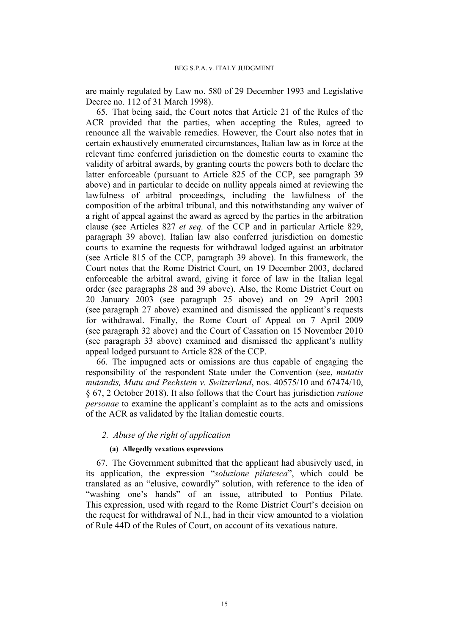are mainly regulated by Law no. 580 of 29 December 1993 and Legislative Decree no. 112 of 31 March 1998).

65. That being said, the Court notes that Article 21 of the Rules of the ACR provided that the parties, when accepting the Rules, agreed to renounce all the waivable remedies. However, the Court also notes that in certain exhaustively enumerated circumstances, Italian law as in force at the relevant time conferred jurisdiction on the domestic courts to examine the validity of arbitral awards, by granting courts the powers both to declare the latter enforceable (pursuant to Article 825 of the CCP, see paragraph [39](#page-8-0) above) and in particular to decide on nullity appeals aimed at reviewing the lawfulness of arbitral proceedings, including the lawfulness of the composition of the arbitral tribunal, and this notwithstanding any waiver of a right of appeal against the award as agreed by the parties in the arbitration clause (see Articles 827 *et seq.* of the CCP and in particular Article 829, paragraph [39](#page-8-0) above). Italian law also conferred jurisdiction on domestic courts to examine the requests for withdrawal lodged against an arbitrator (see Article 815 of the CCP, paragraph [39](#page-8-0) above). In this framework, the Court notes that the Rome District Court, on 19 December 2003, declared enforceable the arbitral award, giving it force of law in the Italian legal order (see paragraphs [28](#page-6-1) and [39](#page-8-0) above). Also, the Rome District Court on 20 January 2003 (see paragraph [25](#page-6-0) above) and on 29 April 2003 (see paragraph [27](#page-6-2) above) examined and dismissed the applicant's requests for withdrawal. Finally, the Rome Court of Appeal on 7 April 2009 (see paragraph [32](#page-7-0) above) and the Court of Cassation on 15 November 2010 (see paragraph [33](#page-7-1) above) examined and dismissed the applicant's nullity appeal lodged pursuant to Article 828 of the CCP.

66. The impugned acts or omissions are thus capable of engaging the responsibility of the respondent State under the Convention (see, *mutatis mutandis, Mutu and Pechstein v. Switzerland*, nos. 40575/10 and 67474/10, § 67, 2 October 2018). It also follows that the Court has jurisdiction *ratione personae* to examine the applicant's complaint as to the acts and omissions of the ACR as validated by the Italian domestic courts.

# *2. Abuse of the right of application*

### **(a) Allegedly vexatious expressions**

<span id="page-16-0"></span>67. The Government submitted that the applicant had abusively used, in its application, the expression "*soluzione pilatesca*", which could be translated as an "elusive, cowardly" solution, with reference to the idea of "washing one's hands" of an issue, attributed to Pontius Pilate. This expression, used with regard to the Rome District Court's decision on the request for withdrawal of N.I., had in their view amounted to a violation of Rule 44D of the Rules of Court, on account of its vexatious nature.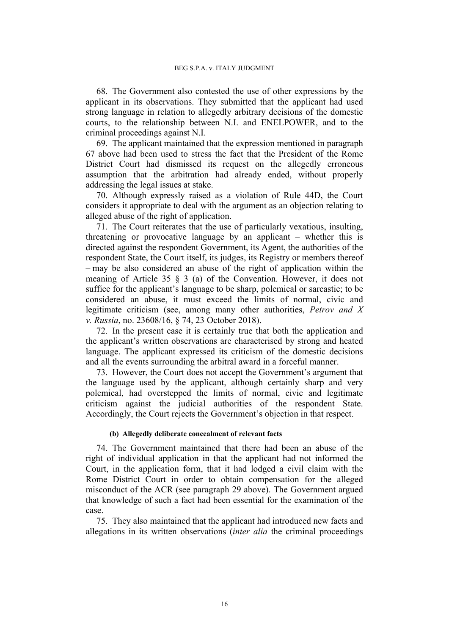68. The Government also contested the use of other expressions by the applicant in its observations. They submitted that the applicant had used strong language in relation to allegedly arbitrary decisions of the domestic courts, to the relationship between N.I. and ENELPOWER, and to the criminal proceedings against N.I.

69. The applicant maintained that the expression mentioned in paragraph [67](#page-16-0) above had been used to stress the fact that the President of the Rome District Court had dismissed its request on the allegedly erroneous assumption that the arbitration had already ended, without properly addressing the legal issues at stake.

70. Although expressly raised as a violation of Rule 44D, the Court considers it appropriate to deal with the argument as an objection relating to alleged abuse of the right of application.

71. The Court reiterates that the use of particularly vexatious, insulting, threatening or provocative language by an applicant – whether this is directed against the respondent Government, its Agent, the authorities of the respondent State, the Court itself, its judges, its Registry or members thereof – may be also considered an abuse of the right of application within the meaning of Article 35 § 3 (a) of the Convention. However, it does not suffice for the applicant's language to be sharp, polemical or sarcastic; to be considered an abuse, it must exceed the limits of normal, civic and legitimate criticism (see, among many other authorities, *Petrov and X v. Russia*, no. 23608/16, § 74, 23 October 2018).

72. In the present case it is certainly true that both the application and the applicant's written observations are characterised by strong and heated language. The applicant expressed its criticism of the domestic decisions and all the events surrounding the arbitral award in a forceful manner.

73. However, the Court does not accept the Government's argument that the language used by the applicant, although certainly sharp and very polemical, had overstepped the limits of normal, civic and legitimate criticism against the judicial authorities of the respondent State. Accordingly, the Court rejects the Government's objection in that respect.

### **(b) Allegedly deliberate concealment of relevant facts**

<span id="page-17-0"></span>74. The Government maintained that there had been an abuse of the right of individual application in that the applicant had not informed the Court, in the application form, that it had lodged a civil claim with the Rome District Court in order to obtain compensation for the alleged misconduct of the ACR (see paragraph [29](#page-6-3) above). The Government argued that knowledge of such a fact had been essential for the examination of the case.

<span id="page-17-1"></span>75. They also maintained that the applicant had introduced new facts and allegations in its written observations (*inter alia* the criminal proceedings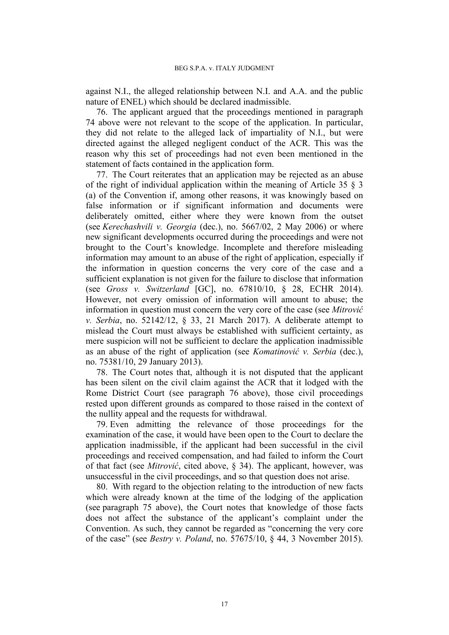against N.I., the alleged relationship between N.I. and A.A. and the public nature of ENEL) which should be declared inadmissible.

<span id="page-18-0"></span>76. The applicant argued that the proceedings mentioned in paragraph [74](#page-17-0) above were not relevant to the scope of the application. In particular, they did not relate to the alleged lack of impartiality of N.I., but were directed against the alleged negligent conduct of the ACR. This was the reason why this set of proceedings had not even been mentioned in the statement of facts contained in the application form.

77. The Court reiterates that an application may be rejected as an abuse of the right of individual application within the meaning of Article 35 § 3 (a) of the Convention if, among other reasons, it was knowingly based on false information or if significant information and documents were deliberately omitted, either where they were known from the outset (see *Kerechashvili v. Georgia* (dec.), no. 5667/02, 2 May 2006) or where new significant developments occurred during the proceedings and were not brought to the Court's knowledge. Incomplete and therefore misleading information may amount to an abuse of the right of application, especially if the information in question concerns the very core of the case and a sufficient explanation is not given for the failure to disclose that information (see *Gross v. Switzerland* [GC], no. 67810/10, § 28, ECHR 2014). However, not every omission of information will amount to abuse; the information in question must concern the very core of the case (see *Mitrović v. Serbia*, no. 52142/12, § 33, 21 March 2017). A deliberate attempt to mislead the Court must always be established with sufficient certainty, as mere suspicion will not be sufficient to declare the application inadmissible as an abuse of the right of application (see *Komatinović v. Serbia* (dec.), no. 75381/10, 29 January 2013).

<span id="page-18-1"></span>78. The Court notes that, although it is not disputed that the applicant has been silent on the civil claim against the ACR that it lodged with the Rome District Court (see paragraph [76](#page-18-0) above), those civil proceedings rested upon different grounds as compared to those raised in the context of the nullity appeal and the requests for withdrawal.

79. Even admitting the relevance of those proceedings for the examination of the case, it would have been open to the Court to declare the application inadmissible, if the applicant had been successful in the civil proceedings and received compensation, and had failed to inform the Court of that fact (see *Mitrović*, cited above, § 34). The applicant, however, was unsuccessful in the civil proceedings, and so that question does not arise.

80. With regard to the objection relating to the introduction of new facts which were already known at the time of the lodging of the application (see paragraph [75](#page-17-1) above), the Court notes that knowledge of those facts does not affect the substance of the applicant's complaint under the Convention. As such, they cannot be regarded as "concerning the very core of the case" (see *Bestry v. Poland*, no. 57675/10, § 44, 3 November 2015).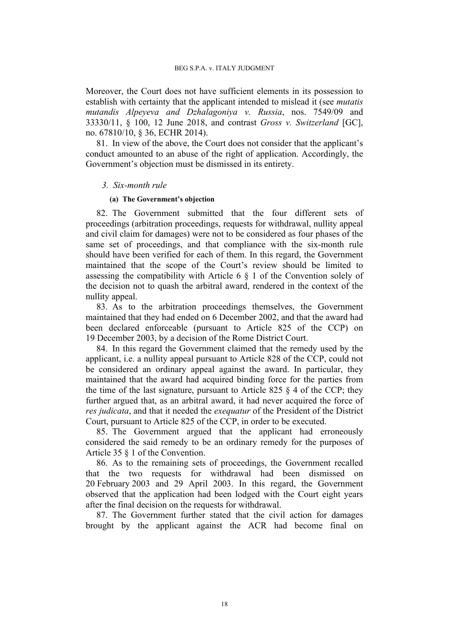Moreover, the Court does not have sufficient elements in its possession to establish with certainty that the applicant intended to mislead it (see *mutatis mutandis Alpeyeva and Dzhalagoniya v. Russia*, nos. 7549/09 and 33330/11, § 100, 12 June 2018, and contrast *Gross v. Switzerland* [GC], no. 67810/10, § 36, ECHR 2014).

81. In view of the above, the Court does not consider that the applicant's conduct amounted to an abuse of the right of application. Accordingly, the Government's objection must be dismissed in its entirety.

### *3. Six-month rule*

### **(a) The Government's objection**

82. The Government submitted that the four different sets of proceedings (arbitration proceedings, requests for withdrawal, nullity appeal and civil claim for damages) were not to be considered as four phases of the same set of proceedings, and that compliance with the six-month rule should have been verified for each of them. In this regard, the Government maintained that the scope of the Court's review should be limited to assessing the compatibility with Article 6 § 1 of the Convention solely of the decision not to quash the arbitral award, rendered in the context of the nullity appeal.

83. As to the arbitration proceedings themselves, the Government maintained that they had ended on 6 December 2002, and that the award had been declared enforceable (pursuant to Article 825 of the CCP) on 19 December 2003, by a decision of the Rome District Court.

84. In this regard the Government claimed that the remedy used by the applicant, i.e. a nullity appeal pursuant to Article 828 of the CCP, could not be considered an ordinary appeal against the award. In particular, they maintained that the award had acquired binding force for the parties from the time of the last signature, pursuant to Article 825  $\S$  4 of the CCP; they further argued that, as an arbitral award, it had never acquired the force of *res judicata*, and that it needed the *exequatur* of the President of the District Court, pursuant to Article 825 of the CCP, in order to be executed.

85. The Government argued that the applicant had erroneously considered the said remedy to be an ordinary remedy for the purposes of Article 35 § 1 of the Convention.

86. As to the remaining sets of proceedings, the Government recalled that the two requests for withdrawal had been dismissed on 20 February 2003 and 29 April 2003. In this regard, the Government observed that the application had been lodged with the Court eight years after the final decision on the requests for withdrawal.

87. The Government further stated that the civil action for damages brought by the applicant against the ACR had become final on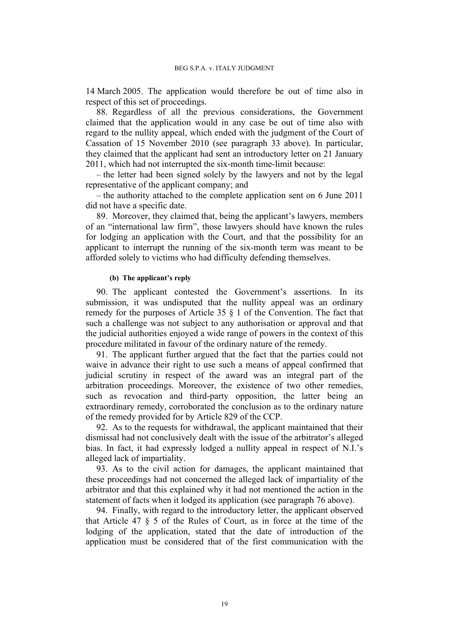14 March 2005. The application would therefore be out of time also in respect of this set of proceedings.

88. Regardless of all the previous considerations, the Government claimed that the application would in any case be out of time also with regard to the nullity appeal, which ended with the judgment of the Court of Cassation of 15 November 2010 (see paragraph [33](#page-7-1) above). In particular, they claimed that the applicant had sent an introductory letter on 21 January 2011, which had not interrupted the six-month time-limit because:

– the letter had been signed solely by the lawyers and not by the legal representative of the applicant company; and

– the authority attached to the complete application sent on 6 June 2011 did not have a specific date.

89. Moreover, they claimed that, being the applicant's lawyers, members of an "international law firm", those lawyers should have known the rules for lodging an application with the Court, and that the possibility for an applicant to interrupt the running of the six-month term was meant to be afforded solely to victims who had difficulty defending themselves.

### **(b) The applicant's reply**

90. The applicant contested the Government's assertions. In its submission, it was undisputed that the nullity appeal was an ordinary remedy for the purposes of Article 35 § 1 of the Convention. The fact that such a challenge was not subject to any authorisation or approval and that the judicial authorities enjoyed a wide range of powers in the context of this procedure militated in favour of the ordinary nature of the remedy.

91. The applicant further argued that the fact that the parties could not waive in advance their right to use such a means of appeal confirmed that judicial scrutiny in respect of the award was an integral part of the arbitration proceedings. Moreover, the existence of two other remedies, such as revocation and third-party opposition, the latter being an extraordinary remedy, corroborated the conclusion as to the ordinary nature of the remedy provided for by Article 829 of the CCP.

92. As to the requests for withdrawal, the applicant maintained that their dismissal had not conclusively dealt with the issue of the arbitrator's alleged bias. In fact, it had expressly lodged a nullity appeal in respect of N.I.'s alleged lack of impartiality.

93. As to the civil action for damages, the applicant maintained that these proceedings had not concerned the alleged lack of impartiality of the arbitrator and that this explained why it had not mentioned the action in the statement of facts when it lodged its application (see paragraph [76](#page-18-0) above).

94. Finally, with regard to the introductory letter, the applicant observed that Article 47 § 5 of the Rules of Court, as in force at the time of the lodging of the application, stated that the date of introduction of the application must be considered that of the first communication with the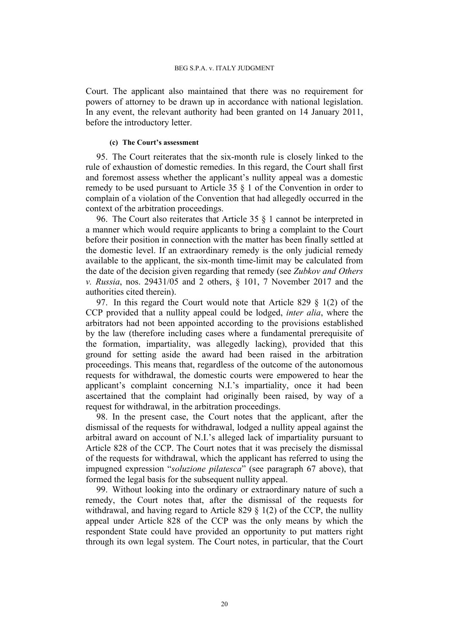Court. The applicant also maintained that there was no requirement for powers of attorney to be drawn up in accordance with national legislation. In any event, the relevant authority had been granted on 14 January 2011, before the introductory letter.

### **(c) The Court's assessment**

95. The Court reiterates that the six-month rule is closely linked to the rule of exhaustion of domestic remedies. In this regard, the Court shall first and foremost assess whether the applicant's nullity appeal was a domestic remedy to be used pursuant to Article 35 § 1 of the Convention in order to complain of a violation of the Convention that had allegedly occurred in the context of the arbitration proceedings.

96. The Court also reiterates that Article 35 § 1 cannot be interpreted in a manner which would require applicants to bring a complaint to the Court before their position in connection with the matter has been finally settled at the domestic level. If an extraordinary remedy is the only judicial remedy available to the applicant, the six-month time-limit may be calculated from the date of the decision given regarding that remedy (see *Zubkov and Others v. Russia*, nos. 29431/05 and 2 others, § 101, 7 November 2017 and the authorities cited therein).

97. In this regard the Court would note that Article 829 § 1(2) of the CCP provided that a nullity appeal could be lodged, *inter alia*, where the arbitrators had not been appointed according to the provisions established by the law (therefore including cases where a fundamental prerequisite of the formation, impartiality, was allegedly lacking), provided that this ground for setting aside the award had been raised in the arbitration proceedings. This means that, regardless of the outcome of the autonomous requests for withdrawal, the domestic courts were empowered to hear the applicant's complaint concerning N.I.'s impartiality, once it had been ascertained that the complaint had originally been raised, by way of a request for withdrawal, in the arbitration proceedings.

98. In the present case, the Court notes that the applicant, after the dismissal of the requests for withdrawal, lodged a nullity appeal against the arbitral award on account of N.I.'s alleged lack of impartiality pursuant to Article 828 of the CCP. The Court notes that it was precisely the dismissal of the requests for withdrawal, which the applicant has referred to using the impugned expression "*soluzione pilatesca*" (see paragraph [67](#page-16-0) above), that formed the legal basis for the subsequent nullity appeal.

99. Without looking into the ordinary or extraordinary nature of such a remedy, the Court notes that, after the dismissal of the requests for withdrawal, and having regard to Article 829 § 1(2) of the CCP, the nullity appeal under Article 828 of the CCP was the only means by which the respondent State could have provided an opportunity to put matters right through its own legal system. The Court notes, in particular, that the Court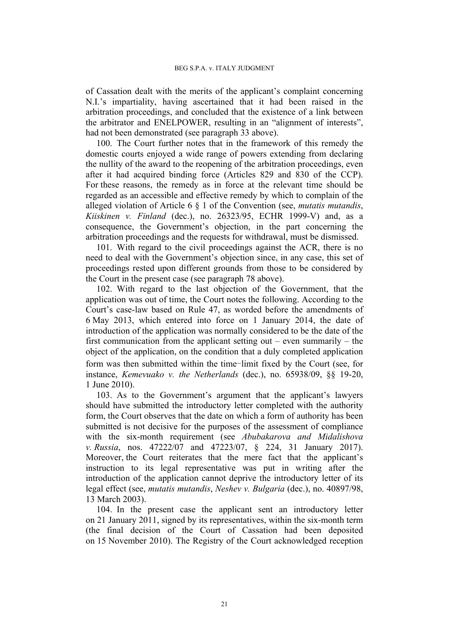of Cassation dealt with the merits of the applicant's complaint concerning N.I.'s impartiality, having ascertained that it had been raised in the arbitration proceedings, and concluded that the existence of a link between the arbitrator and ENELPOWER, resulting in an "alignment of interests", had not been demonstrated (see paragraph [33](#page-7-1) above).

100. The Court further notes that in the framework of this remedy the domestic courts enjoyed a wide range of powers extending from declaring the nullity of the award to the reopening of the arbitration proceedings, even after it had acquired binding force (Articles 829 and 830 of the CCP). For these reasons, the remedy as in force at the relevant time should be regarded as an accessible and effective remedy by which to complain of the alleged violation of Article 6 § 1 of the Convention (see, *mutatis mutandis*, *Kiiskinen v. Finland* (dec.), no. 26323/95, ECHR 1999-V) and, as a consequence, the Government's objection, in the part concerning the arbitration proceedings and the requests for withdrawal, must be dismissed.

101. With regard to the civil proceedings against the ACR, there is no need to deal with the Government's objection since, in any case, this set of proceedings rested upon different grounds from those to be considered by the Court in the present case (see paragraph [78](#page-18-1) above).

102. With regard to the last objection of the Government, that the application was out of time, the Court notes the following. According to the Court's case-law based on Rule 47, as worded before the amendments of 6 May 2013, which entered into force on 1 January 2014, the date of introduction of the application was normally considered to be the date of the first communication from the applicant setting out – even summarily – the object of the application, on the condition that a duly completed application form was then submitted within the time-limit fixed by the Court (see, for instance, *Kemevuako v. the Netherlands* (dec.), no. 65938/09, §§ 19-20, 1 June 2010).

103. As to the Government's argument that the applicant's lawyers should have submitted the introductory letter completed with the authority form, the Court observes that the date on which a form of authority has been submitted is not decisive for the purposes of the assessment of compliance with the six-month requirement (see *Abubakarova and Midalishova v. Russia*, nos. 47222/07 and 47223/07, § 224, 31 January 2017). Moreover, the Court reiterates that the mere fact that the applicant's instruction to its legal representative was put in writing after the introduction of the application cannot deprive the introductory letter of its legal effect (see, *mutatis mutandis*, *Neshev v. Bulgaria* (dec.), no. 40897/98, 13 March 2003).

104. In the present case the applicant sent an introductory letter on 21 January 2011, signed by its representatives, within the six-month term (the final decision of the Court of Cassation had been deposited on 15 November 2010). The Registry of the Court acknowledged reception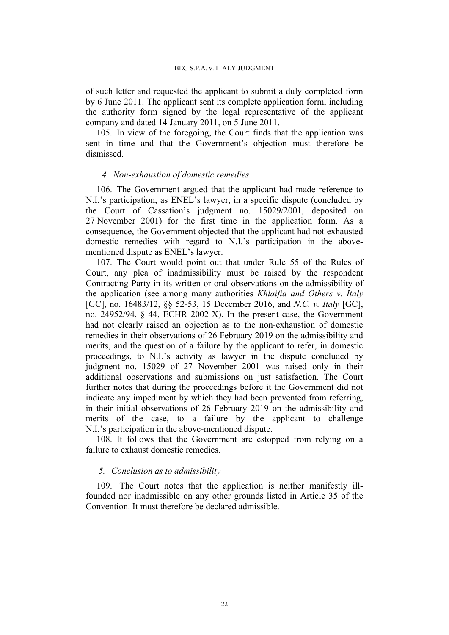of such letter and requested the applicant to submit a duly completed form by 6 June 2011. The applicant sent its complete application form, including the authority form signed by the legal representative of the applicant company and dated 14 January 2011, on 5 June 2011.

105. In view of the foregoing, the Court finds that the application was sent in time and that the Government's objection must therefore be dismissed.

### *4. Non-exhaustion of domestic remedies*

106. The Government argued that the applicant had made reference to N.I.'s participation, as ENEL's lawyer, in a specific dispute (concluded by the Court of Cassation's judgment no. 15029/2001, deposited on 27 November 2001) for the first time in the application form. As a consequence, the Government objected that the applicant had not exhausted domestic remedies with regard to N.I.'s participation in the abovementioned dispute as ENEL's lawyer.

107. The Court would point out that under Rule 55 of the Rules of Court, any plea of inadmissibility must be raised by the respondent Contracting Party in its written or oral observations on the admissibility of the application (see among many authorities *Khlaifia and Others v. Italy* [GC], no. 16483/12, §§ 52-53, 15 December 2016, and *N.C. v. Italy* [GC], no. 24952/94, § 44, ECHR 2002-X). In the present case, the Government had not clearly raised an objection as to the non-exhaustion of domestic remedies in their observations of 26 February 2019 on the admissibility and merits, and the question of a failure by the applicant to refer, in domestic proceedings, to N.I.'s activity as lawyer in the dispute concluded by judgment no. 15029 of 27 November 2001 was raised only in their additional observations and submissions on just satisfaction. The Court further notes that during the proceedings before it the Government did not indicate any impediment by which they had been prevented from referring, in their initial observations of 26 February 2019 on the admissibility and merits of the case, to a failure by the applicant to challenge N.I.'s participation in the above-mentioned dispute.

108. It follows that the Government are estopped from relying on a failure to exhaust domestic remedies.

### *5. Conclusion as to admissibility*

109. The Court notes that the application is neither manifestly illfounded nor inadmissible on any other grounds listed in Article 35 of the Convention. It must therefore be declared admissible.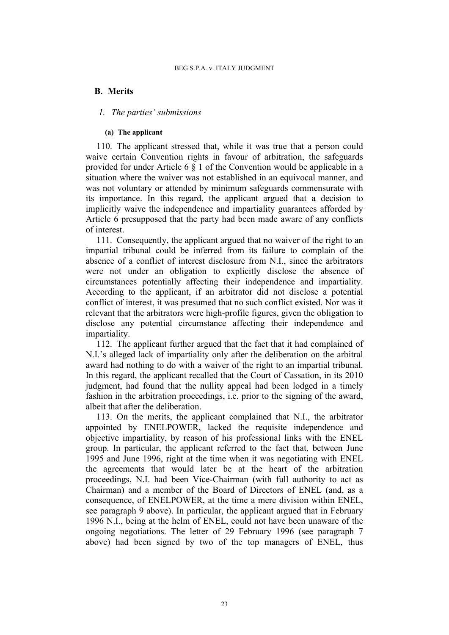# **B. Merits**

## *1. The parties' submissions*

### **(a) The applicant**

110. The applicant stressed that, while it was true that a person could waive certain Convention rights in favour of arbitration, the safeguards provided for under Article 6 § 1 of the Convention would be applicable in a situation where the waiver was not established in an equivocal manner, and was not voluntary or attended by minimum safeguards commensurate with its importance. In this regard, the applicant argued that a decision to implicitly waive the independence and impartiality guarantees afforded by Article 6 presupposed that the party had been made aware of any conflicts of interest.

111. Consequently, the applicant argued that no waiver of the right to an impartial tribunal could be inferred from its failure to complain of the absence of a conflict of interest disclosure from N.I., since the arbitrators were not under an obligation to explicitly disclose the absence of circumstances potentially affecting their independence and impartiality. According to the applicant, if an arbitrator did not disclose a potential conflict of interest, it was presumed that no such conflict existed. Nor was it relevant that the arbitrators were high-profile figures, given the obligation to disclose any potential circumstance affecting their independence and impartiality.

112. The applicant further argued that the fact that it had complained of N.I.'s alleged lack of impartiality only after the deliberation on the arbitral award had nothing to do with a waiver of the right to an impartial tribunal. In this regard, the applicant recalled that the Court of Cassation, in its 2010 judgment, had found that the nullity appeal had been lodged in a timely fashion in the arbitration proceedings, i.e. prior to the signing of the award, albeit that after the deliberation.

113. On the merits, the applicant complained that N.I., the arbitrator appointed by ENELPOWER, lacked the requisite independence and objective impartiality, by reason of his professional links with the ENEL group. In particular, the applicant referred to the fact that, between June 1995 and June 1996, right at the time when it was negotiating with ENEL the agreements that would later be at the heart of the arbitration proceedings, N.I. had been Vice-Chairman (with full authority to act as Chairman) and a member of the Board of Directors of ENEL (and, as a consequence, of ENELPOWER, at the time a mere division within ENEL, see paragraph [9](#page-3-0) above). In particular, the applicant argued that in February 1996 N.I., being at the helm of ENEL, could not have been unaware of the ongoing negotiations. The letter of 29 February 1996 (see paragraph [7](#page-3-1) above) had been signed by two of the top managers of ENEL, thus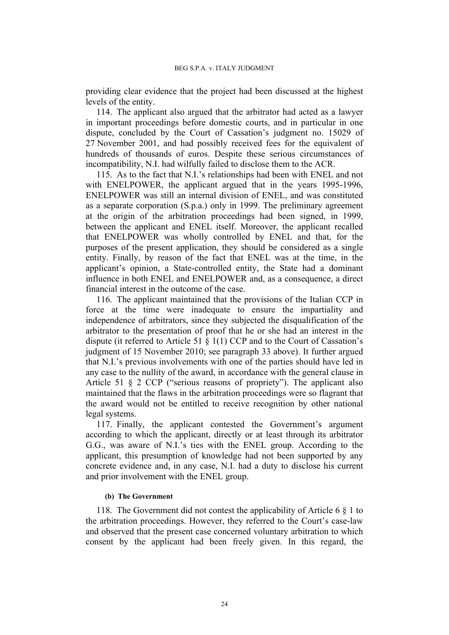providing clear evidence that the project had been discussed at the highest levels of the entity.

114. The applicant also argued that the arbitrator had acted as a lawyer in important proceedings before domestic courts, and in particular in one dispute, concluded by the Court of Cassation's judgment no. 15029 of 27 November 2001, and had possibly received fees for the equivalent of hundreds of thousands of euros. Despite these serious circumstances of incompatibility, N.I. had wilfully failed to disclose them to the ACR.

115. As to the fact that N.I.'s relationships had been with ENEL and not with ENELPOWER, the applicant argued that in the years 1995-1996, ENELPOWER was still an internal division of ENEL, and was constituted as a separate corporation (S.p.a.) only in 1999. The preliminary agreement at the origin of the arbitration proceedings had been signed, in 1999, between the applicant and ENEL itself. Moreover, the applicant recalled that ENELPOWER was wholly controlled by ENEL and that, for the purposes of the present application, they should be considered as a single entity. Finally, by reason of the fact that ENEL was at the time, in the applicant's opinion, a State-controlled entity, the State had a dominant influence in both ENEL and ENELPOWER and, as a consequence, a direct financial interest in the outcome of the case.

116. The applicant maintained that the provisions of the Italian CCP in force at the time were inadequate to ensure the impartiality and independence of arbitrators, since they subjected the disqualification of the arbitrator to the presentation of proof that he or she had an interest in the dispute (it referred to Article 51 § 1(1) CCP and to the Court of Cassation's judgment of 15 November 2010; see paragraph [33](#page-7-1) above). It further argued that N.I.'s previous involvements with one of the parties should have led in any case to the nullity of the award, in accordance with the general clause in Article 51 § 2 CCP ("serious reasons of propriety"). The applicant also maintained that the flaws in the arbitration proceedings were so flagrant that the award would not be entitled to receive recognition by other national legal systems.

117. Finally, the applicant contested the Government's argument according to which the applicant, directly or at least through its arbitrator G.G., was aware of N.I.'s ties with the ENEL group. According to the applicant, this presumption of knowledge had not been supported by any concrete evidence and, in any case, N.I. had a duty to disclose his current and prior involvement with the ENEL group.

#### **(b) The Government**

118. The Government did not contest the applicability of Article 6 § 1 to the arbitration proceedings. However, they referred to the Court's case-law and observed that the present case concerned voluntary arbitration to which consent by the applicant had been freely given. In this regard, the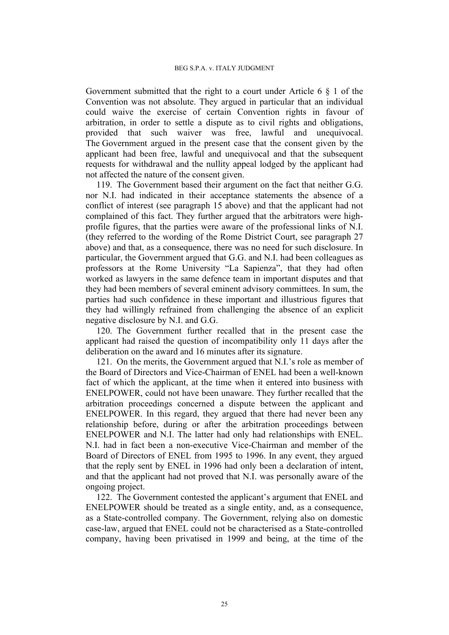Government submitted that the right to a court under Article 6 § 1 of the Convention was not absolute. They argued in particular that an individual could waive the exercise of certain Convention rights in favour of arbitration, in order to settle a dispute as to civil rights and obligations, provided that such waiver was free, lawful and unequivocal. The Government argued in the present case that the consent given by the applicant had been free, lawful and unequivocal and that the subsequent requests for withdrawal and the nullity appeal lodged by the applicant had not affected the nature of the consent given.

119. The Government based their argument on the fact that neither G.G. nor N.I. had indicated in their acceptance statements the absence of a conflict of interest (see paragraph [15](#page-4-1) above) and that the applicant had not complained of this fact. They further argued that the arbitrators were highprofile figures, that the parties were aware of the professional links of N.I. (they referred to the wording of the Rome District Court, see paragraph [27](#page-6-2) above) and that, as a consequence, there was no need for such disclosure. In particular, the Government argued that G.G. and N.I. had been colleagues as professors at the Rome University "La Sapienza", that they had often worked as lawyers in the same defence team in important disputes and that they had been members of several eminent advisory committees. In sum, the parties had such confidence in these important and illustrious figures that they had willingly refrained from challenging the absence of an explicit negative disclosure by N.I. and G.G.

120. The Government further recalled that in the present case the applicant had raised the question of incompatibility only 11 days after the deliberation on the award and 16 minutes after its signature.

121. On the merits, the Government argued that N.I.'s role as member of the Board of Directors and Vice-Chairman of ENEL had been a well-known fact of which the applicant, at the time when it entered into business with ENELPOWER, could not have been unaware. They further recalled that the arbitration proceedings concerned a dispute between the applicant and ENELPOWER. In this regard, they argued that there had never been any relationship before, during or after the arbitration proceedings between ENELPOWER and N.I. The latter had only had relationships with ENEL. N.I. had in fact been a non-executive Vice-Chairman and member of the Board of Directors of ENEL from 1995 to 1996. In any event, they argued that the reply sent by ENEL in 1996 had only been a declaration of intent, and that the applicant had not proved that N.I. was personally aware of the ongoing project.

122. The Government contested the applicant's argument that ENEL and ENELPOWER should be treated as a single entity, and, as a consequence, as a State-controlled company. The Government, relying also on domestic case-law, argued that ENEL could not be characterised as a State-controlled company, having been privatised in 1999 and being, at the time of the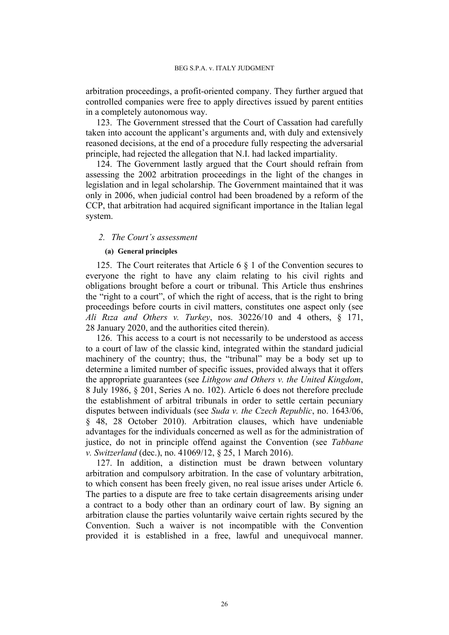arbitration proceedings, a profit-oriented company. They further argued that controlled companies were free to apply directives issued by parent entities in a completely autonomous way.

123. The Government stressed that the Court of Cassation had carefully taken into account the applicant's arguments and, with duly and extensively reasoned decisions, at the end of a procedure fully respecting the adversarial principle, had rejected the allegation that N.I. had lacked impartiality.

124. The Government lastly argued that the Court should refrain from assessing the 2002 arbitration proceedings in the light of the changes in legislation and in legal scholarship. The Government maintained that it was only in 2006, when judicial control had been broadened by a reform of the CCP, that arbitration had acquired significant importance in the Italian legal system.

### *2. The Court's assessment*

### **(a) General principles**

125. The Court reiterates that Article 6 § 1 of the Convention secures to everyone the right to have any claim relating to his civil rights and obligations brought before a court or tribunal. This Article thus enshrines the "right to a court", of which the right of access, that is the right to bring proceedings before courts in civil matters, constitutes one aspect only (see *Ali Rıza and Others v. Turkey*, nos. 30226/10 and 4 others, § 171, 28 January 2020, and the authorities cited therein).

126. This access to a court is not necessarily to be understood as access to a court of law of the classic kind, integrated within the standard judicial machinery of the country; thus, the "tribunal" may be a body set up to determine a limited number of specific issues, provided always that it offers the appropriate guarantees (see *Lithgow and Others v. the United Kingdom*, 8 July 1986, § 201, Series A no. 102). Article 6 does not therefore preclude the establishment of arbitral tribunals in order to settle certain pecuniary disputes between individuals (see *Suda v. the Czech Republic*, no. 1643/06, § 48, 28 October 2010). Arbitration clauses, which have undeniable advantages for the individuals concerned as well as for the administration of justice, do not in principle offend against the Convention (see *Tabbane v. Switzerland* (dec.), no. 41069/12, § 25, 1 March 2016).

<span id="page-27-0"></span>127. In addition, a distinction must be drawn between voluntary arbitration and compulsory arbitration. In the case of voluntary arbitration, to which consent has been freely given, no real issue arises under Article 6. The parties to a dispute are free to take certain disagreements arising under a contract to a body other than an ordinary court of law. By signing an arbitration clause the parties voluntarily waive certain rights secured by the Convention. Such a waiver is not incompatible with the Convention provided it is established in a free, lawful and unequivocal manner.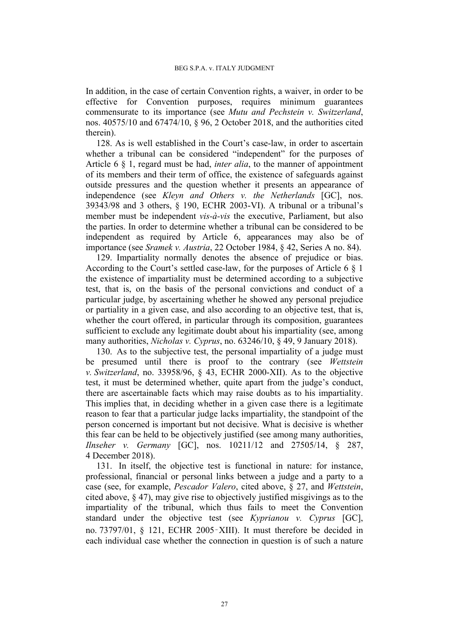In addition, in the case of certain Convention rights, a waiver, in order to be effective for Convention purposes, requires minimum guarantees commensurate to its importance (see *Mutu and Pechstein v. Switzerland*, nos. 40575/10 and 67474/10, § 96, 2 October 2018, and the authorities cited therein).

128. As is well established in the Court's case-law, in order to ascertain whether a tribunal can be considered "independent" for the purposes of Article 6 § 1, regard must be had, *inter alia*, to the manner of appointment of its members and their term of office, the existence of safeguards against outside pressures and the question whether it presents an appearance of independence (see *Kleyn and Others v. the Netherlands* [GC], nos. 39343/98 and 3 others, § 190, ECHR 2003-VI). A tribunal or a tribunal's member must be independent *vis-à-vis* the executive, Parliament, but also the parties. In order to determine whether a tribunal can be considered to be independent as required by Article 6, appearances may also be of importance (see *Sramek v. Austria*, 22 October 1984, § 42, Series A no. 84).

129. Impartiality normally denotes the absence of prejudice or bias. According to the Court's settled case-law, for the purposes of Article 6 § 1 the existence of impartiality must be determined according to a subjective test, that is, on the basis of the personal convictions and conduct of a particular judge, by ascertaining whether he showed any personal prejudice or partiality in a given case, and also according to an objective test, that is, whether the court offered, in particular through its composition, guarantees sufficient to exclude any legitimate doubt about his impartiality (see, among many authorities, *Nicholas v. Cyprus*, no. 63246/10, § 49, 9 January 2018).

130. As to the subjective test, the personal impartiality of a judge must be presumed until there is proof to the contrary (see *Wettstein v. Switzerland*, no. 33958/96, § 43, ECHR 2000-XII). As to the objective test, it must be determined whether, quite apart from the judge's conduct, there are ascertainable facts which may raise doubts as to his impartiality. This implies that, in deciding whether in a given case there is a legitimate reason to fear that a particular judge lacks impartiality, the standpoint of the person concerned is important but not decisive. What is decisive is whether this fear can be held to be objectively justified (see among many authorities, *Ilnseher v. Germany* [GC], nos. 10211/12 and 27505/14, § 287, 4 December 2018).

131. In itself, the objective test is functional in nature: for instance, professional, financial or personal links between a judge and a party to a case (see, for example, *Pescador Valero*, cited above, § 27, and *Wettstein*, cited above, § 47), may give rise to objectively justified misgivings as to the impartiality of the tribunal, which thus fails to meet the Convention standard under the objective test (see *Kyprianou v. Cyprus* [GC], no. 73797/01, § 121, ECHR 2005‑XIII). It must therefore be decided in each individual case whether the connection in question is of such a nature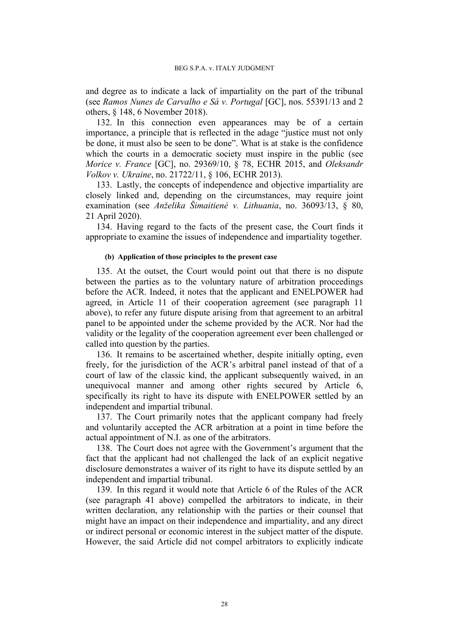and degree as to indicate a lack of impartiality on the part of the tribunal (see *Ramos Nunes de Carvalho e Sá v. Portugal* [GC], nos. 55391/13 and 2 others, § 148, 6 November 2018).

132. In this connection even appearances may be of a certain importance, a principle that is reflected in the adage "justice must not only be done, it must also be seen to be done". What is at stake is the confidence which the courts in a democratic society must inspire in the public (see *Morice v. France* [GC], no. 29369/10, § 78, ECHR 2015, and *Oleksandr Volkov v. Ukraine*, no. 21722/11, § 106, ECHR 2013).

133. Lastly, the concepts of independence and objective impartiality are closely linked and, depending on the circumstances, may require joint examination (see *Anželika Šimaitienė v. Lithuania*, no. 36093/13, § 80, 21 April 2020).

134. Having regard to the facts of the present case, the Court finds it appropriate to examine the issues of independence and impartiality together.

### **(b) Application of those principles to the present case**

135. At the outset, the Court would point out that there is no dispute between the parties as to the voluntary nature of arbitration proceedings before the ACR. Indeed, it notes that the applicant and ENELPOWER had agreed, in Article 11 of their cooperation agreement (see paragraph [11](#page-3-2) above), to refer any future dispute arising from that agreement to an arbitral panel to be appointed under the scheme provided by the ACR. Nor had the validity or the legality of the cooperation agreement ever been challenged or called into question by the parties.

136. It remains to be ascertained whether, despite initially opting, even freely, for the jurisdiction of the ACR's arbitral panel instead of that of a court of law of the classic kind, the applicant subsequently waived, in an unequivocal manner and among other rights secured by Article 6, specifically its right to have its dispute with ENELPOWER settled by an independent and impartial tribunal.

137. The Court primarily notes that the applicant company had freely and voluntarily accepted the ACR arbitration at a point in time before the actual appointment of N.I. as one of the arbitrators.

138. The Court does not agree with the Government's argument that the fact that the applicant had not challenged the lack of an explicit negative disclosure demonstrates a waiver of its right to have its dispute settled by an independent and impartial tribunal.

<span id="page-29-0"></span>139. In this regard it would note that Article 6 of the Rules of the ACR (see paragraph [41](#page-12-0) above) compelled the arbitrators to indicate, in their written declaration, any relationship with the parties or their counsel that might have an impact on their independence and impartiality, and any direct or indirect personal or economic interest in the subject matter of the dispute. However, the said Article did not compel arbitrators to explicitly indicate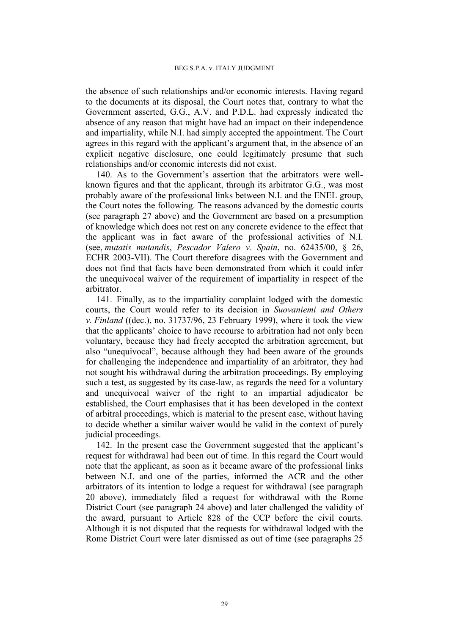the absence of such relationships and/or economic interests. Having regard to the documents at its disposal, the Court notes that, contrary to what the Government asserted, G.G., A.V. and P.D.L. had expressly indicated the absence of any reason that might have had an impact on their independence and impartiality, while N.I. had simply accepted the appointment. The Court agrees in this regard with the applicant's argument that, in the absence of an explicit negative disclosure, one could legitimately presume that such relationships and/or economic interests did not exist.

<span id="page-30-1"></span>140. As to the Government's assertion that the arbitrators were wellknown figures and that the applicant, through its arbitrator G.G., was most probably aware of the professional links between N.I. and the ENEL group, the Court notes the following. The reasons advanced by the domestic courts (see paragraph [27](#page-6-2) above) and the Government are based on a presumption of knowledge which does not rest on any concrete evidence to the effect that the applicant was in fact aware of the professional activities of N.I. (see, *mutatis mutandis*, *Pescador Valero v. Spain*, no. 62435/00, § 26, ECHR 2003-VII). The Court therefore disagrees with the Government and does not find that facts have been demonstrated from which it could infer the unequivocal waiver of the requirement of impartiality in respect of the arbitrator.

141. Finally, as to the impartiality complaint lodged with the domestic courts, the Court would refer to its decision in *Suovaniemi and Others v. Finland* ((dec.), no. 31737/96, 23 February 1999), where it took the view that the applicants' choice to have recourse to arbitration had not only been voluntary, because they had freely accepted the arbitration agreement, but also "unequivocal", because although they had been aware of the grounds for challenging the independence and impartiality of an arbitrator, they had not sought his withdrawal during the arbitration proceedings. By employing such a test, as suggested by its case-law, as regards the need for a voluntary and unequivocal waiver of the right to an impartial adjudicator be established, the Court emphasises that it has been developed in the context of arbitral proceedings, which is material to the present case, without having to decide whether a similar waiver would be valid in the context of purely judicial proceedings.

<span id="page-30-0"></span>142. In the present case the Government suggested that the applicant's request for withdrawal had been out of time. In this regard the Court would note that the applicant, as soon as it became aware of the professional links between N.I. and one of the parties, informed the ACR and the other arbitrators of its intention to lodge a request for withdrawal (see paragraph [20](#page-5-0) above), immediately filed a request for withdrawal with the Rome District Court (see paragraph [24](#page-6-4) above) and later challenged the validity of the award, pursuant to Article 828 of the CCP before the civil courts. Although it is not disputed that the requests for withdrawal lodged with the Rome District Court were later dismissed as out of time (see paragraphs [25](#page-6-0)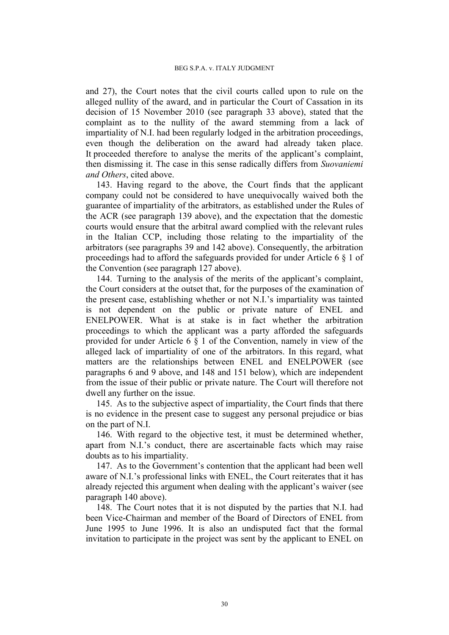and [27](#page-6-2)), the Court notes that the civil courts called upon to rule on the alleged nullity of the award, and in particular the Court of Cassation in its decision of 15 November 2010 (see paragraph [33](#page-7-1) above), stated that the complaint as to the nullity of the award stemming from a lack of impartiality of N.I. had been regularly lodged in the arbitration proceedings, even though the deliberation on the award had already taken place. It proceeded therefore to analyse the merits of the applicant's complaint, then dismissing it. The case in this sense radically differs from *Suovaniemi and Others*, cited above.

143. Having regard to the above, the Court finds that the applicant company could not be considered to have unequivocally waived both the guarantee of impartiality of the arbitrators, as established under the Rules of the ACR (see paragraph [139](#page-29-0) above), and the expectation that the domestic courts would ensure that the arbitral award complied with the relevant rules in the Italian CCP, including those relating to the impartiality of the arbitrators (see paragraphs [39](#page-8-0) and [142](#page-30-0) above). Consequently, the arbitration proceedings had to afford the safeguards provided for under Article 6 § 1 of the Convention (see paragraph [127](#page-27-0) above).

144. Turning to the analysis of the merits of the applicant's complaint, the Court considers at the outset that, for the purposes of the examination of the present case, establishing whether or not N.I.'s impartiality was tainted is not dependent on the public or private nature of ENEL and ENELPOWER. What is at stake is in fact whether the arbitration proceedings to which the applicant was a party afforded the safeguards provided for under Article 6 § 1 of the Convention, namely in view of the alleged lack of impartiality of one of the arbitrators. In this regard, what matters are the relationships between ENEL and ENELPOWER (see paragraphs [6](#page-3-3) and [9](#page-3-0) above, and [148](#page-31-0) and [151](#page-32-0) below), which are independent from the issue of their public or private nature. The Court will therefore not dwell any further on the issue.

145. As to the subjective aspect of impartiality, the Court finds that there is no evidence in the present case to suggest any personal prejudice or bias on the part of N.I.

146. With regard to the objective test, it must be determined whether, apart from N.I.'s conduct, there are ascertainable facts which may raise doubts as to his impartiality.

147. As to the Government's contention that the applicant had been well aware of N.I.'s professional links with ENEL, the Court reiterates that it has already rejected this argument when dealing with the applicant's waiver (see paragraph [140](#page-30-1) above).

<span id="page-31-0"></span>148. The Court notes that it is not disputed by the parties that N.I. had been Vice-Chairman and member of the Board of Directors of ENEL from June 1995 to June 1996. It is also an undisputed fact that the formal invitation to participate in the project was sent by the applicant to ENEL on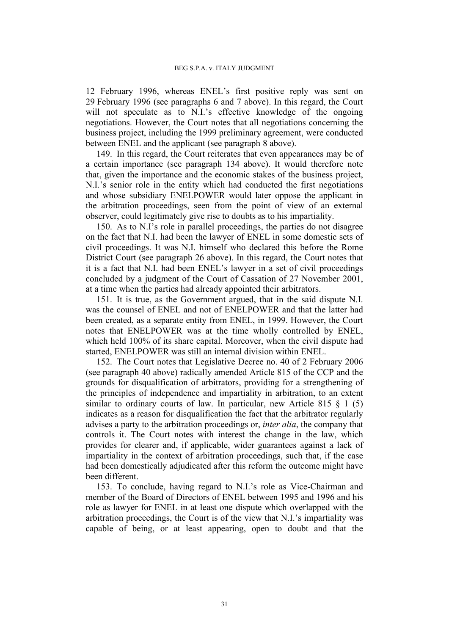12 February 1996, whereas ENEL's first positive reply was sent on 29 February 1996 (see paragraphs [6](#page-3-3) and [7](#page-3-1) above). In this regard, the Court will not speculate as to N.I.'s effective knowledge of the ongoing negotiations. However, the Court notes that all negotiations concerning the business project, including the 1999 preliminary agreement, were conducted between ENEL and the applicant (see paragraph [8](#page-3-4) above).

149. In this regard, the Court reiterates that even appearances may be of a certain importance (see paragraph 134 above). It would therefore note that, given the importance and the economic stakes of the business project, N.I.'s senior role in the entity which had conducted the first negotiations and whose subsidiary ENELPOWER would later oppose the applicant in the arbitration proceedings, seen from the point of view of an external observer, could legitimately give rise to doubts as to his impartiality.

150. As to N.I's role in parallel proceedings, the parties do not disagree on the fact that N.I. had been the lawyer of ENEL in some domestic sets of civil proceedings. It was N.I. himself who declared this before the Rome District Court (see paragraph [26](#page-6-5) above). In this regard, the Court notes that it is a fact that N.I. had been ENEL's lawyer in a set of civil proceedings concluded by a judgment of the Court of Cassation of 27 November 2001, at a time when the parties had already appointed their arbitrators.

<span id="page-32-0"></span>151. It is true, as the Government argued, that in the said dispute N.I. was the counsel of ENEL and not of ENELPOWER and that the latter had been created, as a separate entity from ENEL, in 1999. However, the Court notes that ENELPOWER was at the time wholly controlled by ENEL, which held 100% of its share capital. Moreover, when the civil dispute had started, ENELPOWER was still an internal division within ENEL.

152. The Court notes that Legislative Decree no. 40 of 2 February 2006 (see paragraph [40](#page-11-0) above) radically amended Article 815 of the CCP and the grounds for disqualification of arbitrators, providing for a strengthening of the principles of independence and impartiality in arbitration, to an extent similar to ordinary courts of law. In particular, new Article 815  $\S$  1 (5) indicates as a reason for disqualification the fact that the arbitrator regularly advises a party to the arbitration proceedings or, *inter alia*, the company that controls it. The Court notes with interest the change in the law, which provides for clearer and, if applicable, wider guarantees against a lack of impartiality in the context of arbitration proceedings, such that, if the case had been domestically adjudicated after this reform the outcome might have been different.

153. To conclude, having regard to N.I.'s role as Vice-Chairman and member of the Board of Directors of ENEL between 1995 and 1996 and his role as lawyer for ENEL in at least one dispute which overlapped with the arbitration proceedings, the Court is of the view that N.I.'s impartiality was capable of being, or at least appearing, open to doubt and that the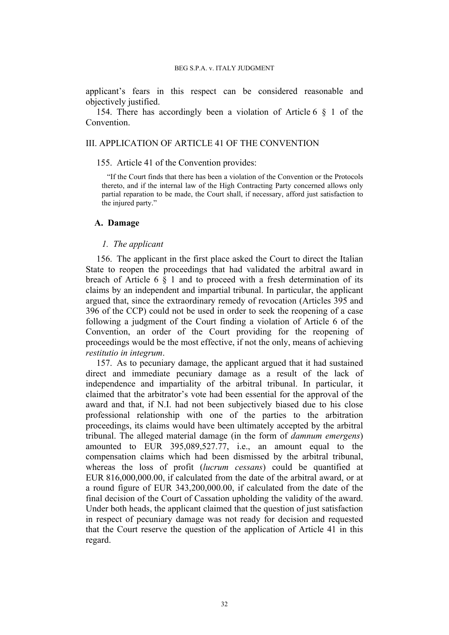applicant's fears in this respect can be considered reasonable and objectively justified.

154. There has accordingly been a violation of Article 6 § 1 of the **Convention** 

### III. APPLICATION OF ARTICLE 41 OF THE CONVENTION

155. Article 41 of the Convention provides:

"If the Court finds that there has been a violation of the Convention or the Protocols thereto, and if the internal law of the High Contracting Party concerned allows only partial reparation to be made, the Court shall, if necessary, afford just satisfaction to the injured party."

## **A. Damage**

## *1. The applicant*

156. The applicant in the first place asked the Court to direct the Italian State to reopen the proceedings that had validated the arbitral award in breach of Article 6 § 1 and to proceed with a fresh determination of its claims by an independent and impartial tribunal. In particular, the applicant argued that, since the extraordinary remedy of revocation (Articles 395 and 396 of the CCP) could not be used in order to seek the reopening of a case following a judgment of the Court finding a violation of Article 6 of the Convention, an order of the Court providing for the reopening of proceedings would be the most effective, if not the only, means of achieving *restitutio in integrum*.

157. As to pecuniary damage, the applicant argued that it had sustained direct and immediate pecuniary damage as a result of the lack of independence and impartiality of the arbitral tribunal. In particular, it claimed that the arbitrator's vote had been essential for the approval of the award and that, if N.I. had not been subjectively biased due to his close professional relationship with one of the parties to the arbitration proceedings, its claims would have been ultimately accepted by the arbitral tribunal. The alleged material damage (in the form of *damnum emergens*) amounted to EUR 395,089,527.77, i.e., an amount equal to the compensation claims which had been dismissed by the arbitral tribunal, whereas the loss of profit (*lucrum cessans*) could be quantified at EUR 816,000,000.00, if calculated from the date of the arbitral award, or at a round figure of EUR 343,200,000.00, if calculated from the date of the final decision of the Court of Cassation upholding the validity of the award. Under both heads, the applicant claimed that the question of just satisfaction in respect of pecuniary damage was not ready for decision and requested that the Court reserve the question of the application of Article 41 in this regard.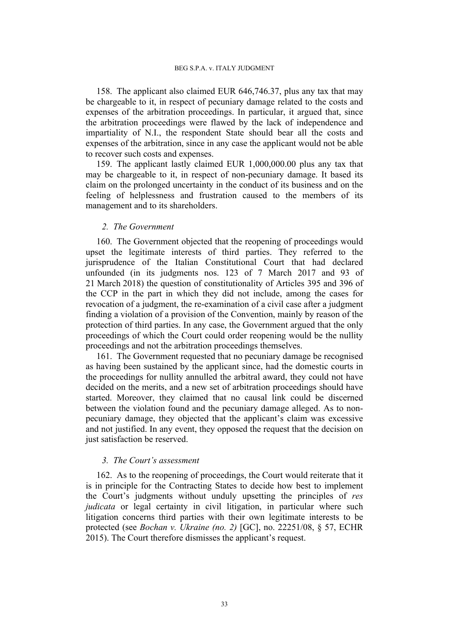158. The applicant also claimed EUR 646,746.37, plus any tax that may be chargeable to it, in respect of pecuniary damage related to the costs and expenses of the arbitration proceedings. In particular, it argued that, since the arbitration proceedings were flawed by the lack of independence and impartiality of N.I., the respondent State should bear all the costs and expenses of the arbitration, since in any case the applicant would not be able to recover such costs and expenses.

159. The applicant lastly claimed EUR 1,000,000.00 plus any tax that may be chargeable to it, in respect of non-pecuniary damage. It based its claim on the prolonged uncertainty in the conduct of its business and on the feeling of helplessness and frustration caused to the members of its management and to its shareholders.

## *2. The Government*

160. The Government objected that the reopening of proceedings would upset the legitimate interests of third parties. They referred to the jurisprudence of the Italian Constitutional Court that had declared unfounded (in its judgments nos. 123 of 7 March 2017 and 93 of 21 March 2018) the question of constitutionality of Articles 395 and 396 of the CCP in the part in which they did not include, among the cases for revocation of a judgment, the re-examination of a civil case after a judgment finding a violation of a provision of the Convention, mainly by reason of the protection of third parties. In any case, the Government argued that the only proceedings of which the Court could order reopening would be the nullity proceedings and not the arbitration proceedings themselves.

161. The Government requested that no pecuniary damage be recognised as having been sustained by the applicant since, had the domestic courts in the proceedings for nullity annulled the arbitral award, they could not have decided on the merits, and a new set of arbitration proceedings should have started. Moreover, they claimed that no causal link could be discerned between the violation found and the pecuniary damage alleged. As to nonpecuniary damage, they objected that the applicant's claim was excessive and not justified. In any event, they opposed the request that the decision on just satisfaction be reserved.

## *3. The Court's assessment*

162. As to the reopening of proceedings, the Court would reiterate that it is in principle for the Contracting States to decide how best to implement the Court's judgments without unduly upsetting the principles of *res judicata* or legal certainty in civil litigation, in particular where such litigation concerns third parties with their own legitimate interests to be protected (see *Bochan v. Ukraine (no. 2)* [GC], no. 22251/08, § 57, ECHR 2015). The Court therefore dismisses the applicant's request.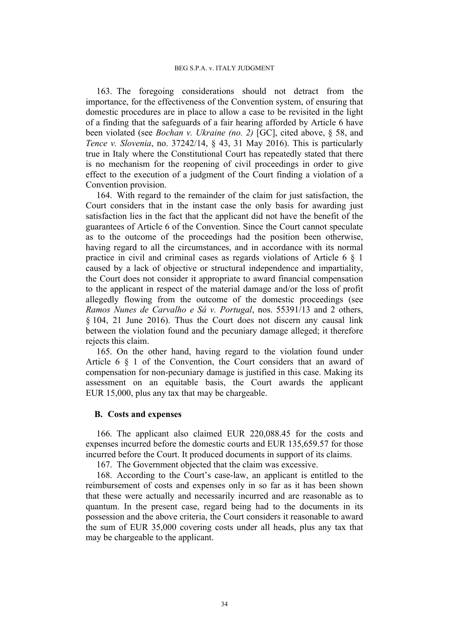163. The foregoing considerations should not detract from the importance, for the effectiveness of the Convention system, of ensuring that domestic procedures are in place to allow a case to be revisited in the light of a finding that the safeguards of a fair hearing afforded by Article 6 have been violated (see *Bochan v. Ukraine (no. 2)* [GC], cited above, § 58, and *Tence v. Slovenia*, no. 37242/14, § 43, 31 May 2016). This is particularly true in Italy where the Constitutional Court has repeatedly stated that there is no mechanism for the reopening of civil proceedings in order to give effect to the execution of a judgment of the Court finding a violation of a Convention provision.

164. With regard to the remainder of the claim for just satisfaction, the Court considers that in the instant case the only basis for awarding just satisfaction lies in the fact that the applicant did not have the benefit of the guarantees of Article 6 of the Convention. Since the Court cannot speculate as to the outcome of the proceedings had the position been otherwise, having regard to all the circumstances, and in accordance with its normal practice in civil and criminal cases as regards violations of Article 6 § 1 caused by a lack of objective or structural independence and impartiality, the Court does not consider it appropriate to award financial compensation to the applicant in respect of the material damage and/or the loss of profit allegedly flowing from the outcome of the domestic proceedings (see *Ramos Nunes de Carvalho e Sá v. Portugal*, nos. 55391/13 and 2 others, § 104, 21 June 2016). Thus the Court does not discern any causal link between the violation found and the pecuniary damage alleged; it therefore rejects this claim.

165. On the other hand, having regard to the violation found under Article 6 § 1 of the Convention, the Court considers that an award of compensation for non-pecuniary damage is justified in this case. Making its assessment on an equitable basis, the Court awards the applicant EUR 15,000, plus any tax that may be chargeable.

### **B. Costs and expenses**

166. The applicant also claimed EUR 220,088.45 for the costs and expenses incurred before the domestic courts and EUR 135,659.57 for those incurred before the Court. It produced documents in support of its claims.

167. The Government objected that the claim was excessive.

168. According to the Court's case-law, an applicant is entitled to the reimbursement of costs and expenses only in so far as it has been shown that these were actually and necessarily incurred and are reasonable as to quantum. In the present case, regard being had to the documents in its possession and the above criteria, the Court considers it reasonable to award the sum of EUR 35,000 covering costs under all heads, plus any tax that may be chargeable to the applicant.